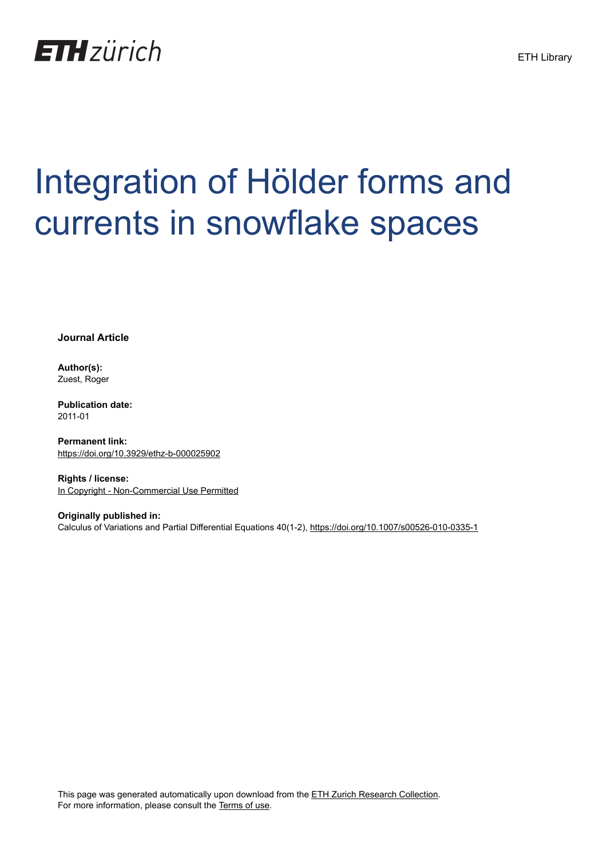

# Integration of Hölder forms and currents in snowflake spaces

**Journal Article**

**Author(s):** Zuest, Roger

**Publication date:** 2011-01

**Permanent link:** <https://doi.org/10.3929/ethz-b-000025902>

**Rights / license:** [In Copyright - Non-Commercial Use Permitted](http://rightsstatements.org/page/InC-NC/1.0/)

**Originally published in:** Calculus of Variations and Partial Differential Equations 40(1-2),<https://doi.org/10.1007/s00526-010-0335-1>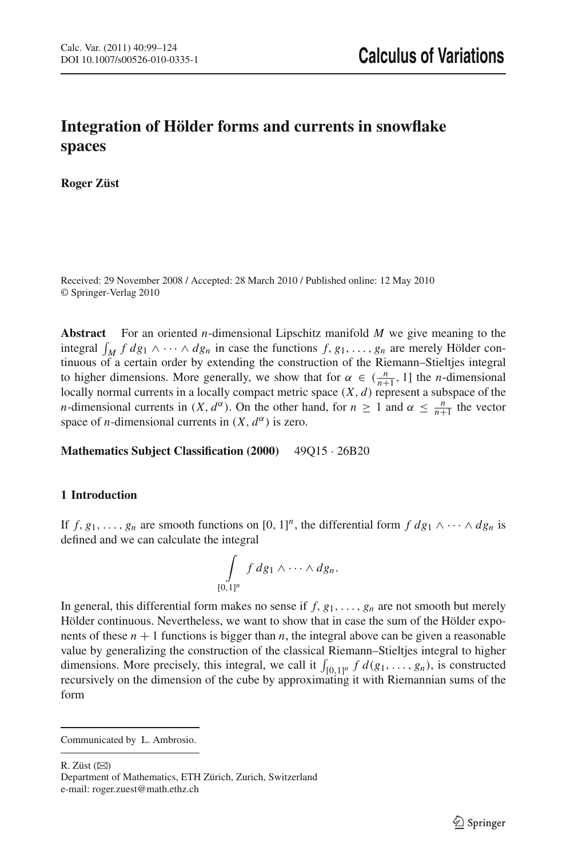# **Integration of Hölder forms and currents in snowflake spaces**

**Roger Züst**

Received: 29 November 2008 / Accepted: 28 March 2010 / Published online: 12 May 2010 © Springer-Verlag 2010

**Abstract** For an oriented *n*-dimensional Lipschitz manifold *M* we give meaning to the integral  $\int_M f \, dg_1 \wedge \cdots \wedge dg_n$  in case the functions  $f, g_1, \ldots, g_n$  are merely Hölder continuous of a certain order by extending the construction of the Riemann–Stieltjes integral to higher dimensions. More generally, we show that for  $\alpha \in (\frac{n}{n+1}, 1]$  the *n*-dimensional locally normal currents in a locally compact metric space (*X*, *d*) represent a subspace of the *n*-dimensional currents in  $(X, d^{\alpha})$ . On the other hand, for  $n \ge 1$  and  $\alpha \le \frac{n}{n+1}$  the vector space of *n*-dimensional currents in  $(X, d^{\alpha})$  is zero.

**Mathematics Subject Classification (2000)** 49Q15 · 26B20

# **1 Introduction**

If *f*, *g*<sub>1</sub>, ..., *g<sub>n</sub>* are smooth functions on [0, 1]<sup>*n*</sup>, the differential form *f*  $dg_1 \wedge \cdots \wedge dg_n$  is defined and we can calculate the integral

$$
\int\limits_{[0,1]^n} f\,dg_1\wedge\cdots\wedge dg_n.
$$

In general, this differential form makes no sense if  $f, g_1, \ldots, g_n$  are not smooth but merely Hölder continuous. Nevertheless, we want to show that in case the sum of the Hölder exponents of these  $n + 1$  functions is bigger than  $n$ , the integral above can be given a reasonable value by generalizing the construction of the classical Riemann–Stieltjes integral to higher dimensions. More precisely, this integral, we call it  $\int_{[0,1]^n} f d(g_1, \ldots, g_n)$ , is constructed recursively on the dimension of the cube by approximating it with Riemannian sums of the form

R. Züst  $(\boxtimes)$ 

Communicated by L. Ambrosio.

Department of Mathematics, ETH Zürich, Zurich, Switzerland e-mail: roger.zuest@math.ethz.ch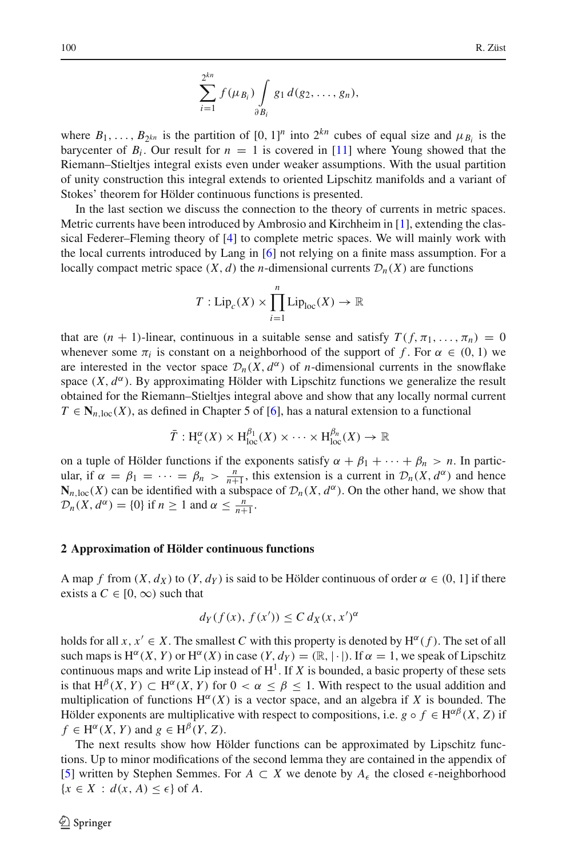$$
\sum_{i=1}^{2^{kn}} f(\mu_{B_i}) \int_{\partial B_i} g_1 d(g_2,\ldots,g_n),
$$

where  $B_1, \ldots, B_{2^{kn}}$  is the partition of  $[0, 1]^n$  into  $2^{kn}$  cubes of equal size and  $\mu_{B_i}$  is the barycenter of  $B_i$ . Our result for  $n = 1$  is covered in [\[11](#page-26-0)] where Young showed that the Riemann–Stieltjes integral exists even under weaker assumptions. With the usual partition of unity construction this integral extends to oriented Lipschitz manifolds and a variant of Stokes' theorem for Hölder continuous functions is presented.

In the last section we discuss the connection to the theory of currents in metric spaces. Metric currents have been introduced by Ambrosio and Kirchheim in [\[1](#page-26-1)], extending the classical Federer–Fleming theory of [\[4](#page-26-2)] to complete metric spaces. We will mainly work with the local currents introduced by Lang in [\[6\]](#page-26-3) not relying on a finite mass assumption. For a locally compact metric space  $(X, d)$  the *n*-dimensional currents  $\mathcal{D}_n(X)$  are functions

$$
T: \mathrm{Lip}_c(X) \times \prod_{i=1}^n \mathrm{Lip}_{\mathrm{loc}}(X) \to \mathbb{R}
$$

that are  $(n + 1)$ -linear, continuous in a suitable sense and satisfy  $T(f, \pi_1, \ldots, \pi_n) = 0$ whenever some  $\pi_i$  is constant on a neighborhood of the support of f. For  $\alpha \in (0, 1)$  we are interested in the vector space  $\mathcal{D}_n(X, d^\alpha)$  of *n*-dimensional currents in the snowflake space  $(X, d^{\alpha})$ . By approximating Hölder with Lipschitz functions we generalize the result obtained for the Riemann–Stieltjes integral above and show that any locally normal current  $T \in N_{n,\text{loc}}(X)$ , as defined in Chapter 5 of [\[6\]](#page-26-3), has a natural extension to a functional

$$
\overline{T}: \mathrm{H}^{\alpha}_{c}(X) \times \mathrm{H}^{\beta_{1}}_{\mathrm{loc}}(X) \times \cdots \times \mathrm{H}^{\beta_{n}}_{\mathrm{loc}}(X) \to \mathbb{R}
$$

on a tuple of Hölder functions if the exponents satisfy  $\alpha + \beta_1 + \cdots + \beta_n > n$ . In particular, if  $\alpha = \beta_1 = \cdots = \beta_n > \frac{n}{n+1}$ , this extension is a current in  $\mathcal{D}_n(X, d^\alpha)$  and hence  $N_{n,\text{loc}}(X)$  can be identified with a subspace of  $\mathcal{D}_n(X, d^\alpha)$ . On the other hand, we show that  $\mathcal{D}_n(X, d^\alpha) = \{0\}$  if  $n \geq 1$  and  $\alpha \leq \frac{n}{n+1}$ .

# **2 Approximation of Hölder continuous functions**

A map *f* from  $(X, d_X)$  to  $(Y, d_Y)$  is said to be Hölder continuous of order  $\alpha \in (0, 1]$  if there exists a  $C \in [0, \infty)$  such that

$$
d_Y(f(x), f(x')) \le C d_X(x, x')^{\alpha}
$$

holds for all  $x, x' \in X$ . The smallest C with this property is denoted by  $H^{\alpha}(f)$ . The set of all such maps is  $H^{\alpha}(X, Y)$  or  $H^{\alpha}(X)$  in case  $(Y, d_Y) = (\mathbb{R}, |\cdot|)$ . If  $\alpha = 1$ , we speak of Lipschitz continuous maps and write Lip instead of  $H^1$ . If *X* is bounded, a basic property of these sets is that  $H^{\beta}(X, Y) \subset H^{\alpha}(X, Y)$  for  $0 < \alpha \leq \beta \leq 1$ . With respect to the usual addition and multiplication of functions  $H^{\alpha}(X)$  is a vector space, and an algebra if X is bounded. The Hölder exponents are multiplicative with respect to compositions, i.e.  $g \circ f \in H^{\alpha\beta}(X, Z)$  if  $f \in H^{\alpha}(X, Y)$  and  $g \in H^{\beta}(Y, Z)$ .

<span id="page-2-0"></span>The next results show how Hölder functions can be approximated by Lipschitz functions. Up to minor modifications of the second lemma they are contained in the appendix of [\[5](#page-26-4)] written by Stephen Semmes. For  $A \subset X$  we denote by  $A_{\epsilon}$  the closed  $\epsilon$ -neighborhood  ${x \in X : d(x, A) \leq \epsilon}$  of *A*.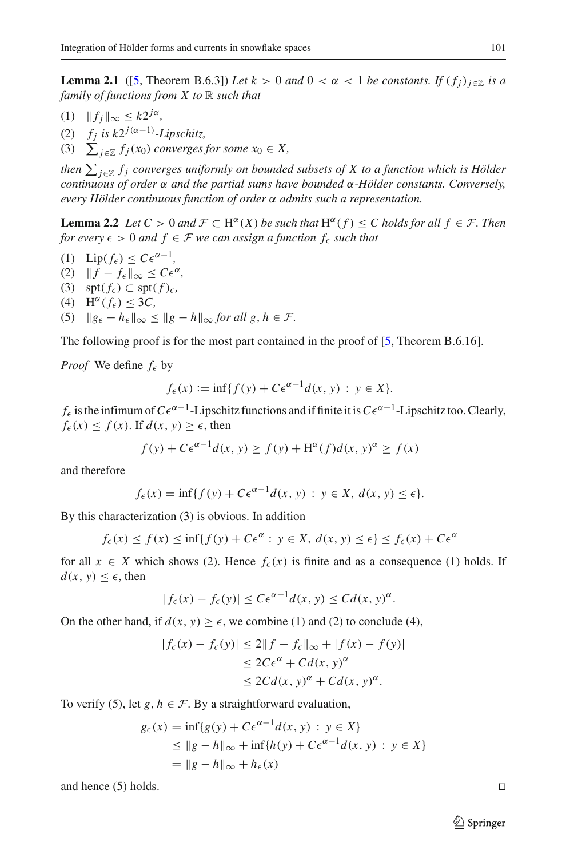**Lemma 2.1** ([\[5](#page-26-4), Theorem B.6.3]) *Let*  $k > 0$  *and*  $0 < \alpha < 1$  *be constants. If*  $(f_i)_{i \in \mathbb{Z}}$  *is a family of functions from X to* R *such that*

- $(1)$   $|| f_i ||_{\infty} \leq k2^{j\alpha}$ ,
- (2)  $f_j$  *is k*2<sup>*j*( $\alpha$ -1)</sup>-Lipschitz,
- (3)  $\sum_{j\in\mathbb{Z}} f_j(x_0)$  *converges for some*  $x_0 \in X$ ,

then  $\sum_{j\in\mathbb{Z}}f_j$  converges uniformly on bounded subsets of X to a function which is Hölder *continuous of order* α *and the partial sums have bounded* α*-Hölder constants. Conversely, every Hölder continuous function of order* α *admits such a representation.*

<span id="page-3-0"></span>**Lemma 2.2** *Let*  $C > 0$  *and*  $\mathcal{F} \subset H^{\alpha}(X)$  *be such that*  $H^{\alpha}(f) \leq C$  *holds for all*  $f \in \mathcal{F}$ *. Then for every*  $\epsilon > 0$  *and*  $f \in \mathcal{F}$  *we can assign a function*  $f_{\epsilon}$  *such that* 

 $(1)$  Lip( $f_{\epsilon}$ )  $\leq C\epsilon^{\alpha-1}$ , (2)  $||f - f_{\epsilon}||_{\infty} \leq C\epsilon^{\alpha}$ (3) spt $(f_{\epsilon}) \subset$  spt $(f)_{\epsilon}$ (4)  $H^{\alpha}(f_{\epsilon}) \leq 3C$ , (5)  $\|g_{\epsilon} - h_{\epsilon}\|_{\infty} \leq \|g - h\|_{\infty}$  *for all g, h*  $\in \mathcal{F}$ *.* 

The following proof is for the most part contained in the proof of [\[5,](#page-26-4) Theorem B.6.16].

*Proof* We define  $f_{\epsilon}$  by

$$
f_{\epsilon}(x) := \inf\{f(y) + C\epsilon^{\alpha - 1}d(x, y) : y \in X\}.
$$

*f*<sub> $ε$ </sub> is the infimum of  $C\epsilon^{\alpha-1}$ -Lipschitz functions and if finite it is  $C\epsilon^{\alpha-1}$ -Lipschitz too. Clearly,  $f_{\epsilon}(x) \leq f(x)$ . If  $d(x, y) \geq \epsilon$ , then

$$
f(y) + C\epsilon^{\alpha - 1}d(x, y) \ge f(y) + H^{\alpha}(f)d(x, y)^{\alpha} \ge f(x)
$$

and therefore

$$
f_{\epsilon}(x) = \inf\{f(y) + C\epsilon^{\alpha-1}d(x, y) : y \in X, d(x, y) \le \epsilon\}.
$$

By this characterization (3) is obvious. In addition

$$
f_{\epsilon}(x) \le f(x) \le \inf\{f(y) + C\epsilon^{\alpha} : y \in X, d(x, y) \le \epsilon\} \le f_{\epsilon}(x) + C\epsilon^{\alpha}
$$

for all  $x \in X$  which shows (2). Hence  $f_{\epsilon}(x)$  is finite and as a consequence (1) holds. If  $d(x, y) \leq \epsilon$ , then

$$
|f_{\epsilon}(x) - f_{\epsilon}(y)| \le C\epsilon^{\alpha-1}d(x, y) \le C d(x, y)^{\alpha}.
$$

On the other hand, if  $d(x, y) \ge \epsilon$ , we combine (1) and (2) to conclude (4),

$$
|f_{\epsilon}(x) - f_{\epsilon}(y)| \le 2||f - f_{\epsilon}||_{\infty} + |f(x) - f(y)|
$$
  
\n
$$
\le 2C\epsilon^{\alpha} + C d(x, y)^{\alpha}
$$
  
\n
$$
\le 2C d(x, y)^{\alpha} + C d(x, y)^{\alpha}.
$$

To verify (5), let *g*,  $h \in \mathcal{F}$ . By a straightforward evaluation,

$$
g_{\epsilon}(x) = \inf \{ g(y) + C\epsilon^{\alpha-1} d(x, y) : y \in X \}
$$
  
\n
$$
\leq \| g - h \|_{\infty} + \inf \{ h(y) + C\epsilon^{\alpha-1} d(x, y) : y \in X \}
$$
  
\n
$$
= \| g - h \|_{\infty} + h_{\epsilon}(x)
$$

and hence (5) holds. 

$$
\Box
$$

 $\circled{2}$  Springer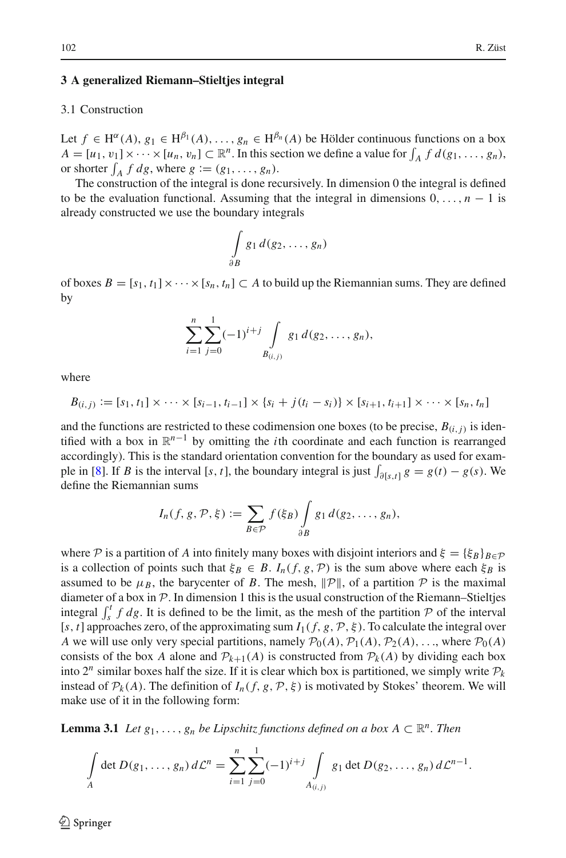# **3 A generalized Riemann–Stieltjes integral**

# 3.1 Construction

Let  $f \in H^{\alpha}(A), g_1 \in H^{\beta_1}(A), \ldots, g_n \in H^{\beta_n}(A)$  be Hölder continuous functions on a box  $A = [u_1, v_1] \times \cdots \times [u_n, v_n] \subset \mathbb{R}^n$ . In this section we define a value for  $\int_A f d(g_1, \ldots, g_n)$ , or shorter  $\int_A f \, dg$ , where  $g := (g_1, \ldots, g_n)$ .

The construction of the integral is done recursively. In dimension 0 the integral is defined to be the evaluation functional. Assuming that the integral in dimensions  $0, \ldots, n-1$  is already constructed we use the boundary integrals

$$
\int\limits_{\partial B} g_1\,d(g_2,\ldots,g_n)
$$

of boxes  $B = [s_1, t_1] \times \cdots \times [s_n, t_n] \subset A$  to build up the Riemannian sums. They are defined by

$$
\sum_{i=1}^n \sum_{j=0}^1 (-1)^{i+j} \int\limits_{B_{(i,j)}} g_1 d(g_2,\ldots,g_n),
$$

where

$$
B_{(i,j)} := [s_1, t_1] \times \cdots \times [s_{i-1}, t_{i-1}] \times \{s_i + j(t_i - s_i)\} \times [s_{i+1}, t_{i+1}] \times \cdots \times [s_n, t_n]
$$

and the functions are restricted to these codimension one boxes (to be precise,  $B(i, j)$  is identified with a box in  $\mathbb{R}^{n-1}$  by omitting the *i*th coordinate and each function is rearranged accordingly). This is the standard orientation convention for the boundary as used for exam-ple in [\[8\]](#page-26-5). If *B* is the interval [*s*, *t*], the boundary integral is just  $\int_{\partial [s,t]} g = g(t) - g(s)$ . We define the Riemannian sums

$$
I_n(f,g,\mathcal{P},\xi) \coloneqq \sum_{B \in \mathcal{P}} f(\xi_B) \int_{\partial B} g_1 d(g_2,\ldots,g_n),
$$

where *P* is a partition of *A* into finitely many boxes with disjoint interiors and  $\xi = {\{\xi_B\}}_{B \in \mathcal{P}}$ is a collection of points such that  $\xi_B \in B$ .  $I_n(f, g, \mathcal{P})$  is the sum above where each  $\xi_B$  is assumed to be  $\mu_B$ , the barycenter of *B*. The mesh,  $\|\mathcal{P}\|$ , of a partition  $\mathcal P$  is the maximal diameter of a box in  $P$ . In dimension 1 this is the usual construction of the Riemann–Stieltjes integral  $\int_s^t f \, dg$ . It is defined to be the limit, as the mesh of the partition *P* of the interval [ $s$ ,  $t$ ] approaches zero, of the approximating sum  $I_1(f, g, \mathcal{P}, \xi)$ . To calculate the integral over *A* we will use only very special partitions, namely  $\mathcal{P}_0(A), \mathcal{P}_1(A), \mathcal{P}_2(A), \ldots$ , where  $\mathcal{P}_0(A)$ consists of the box *A* alone and  $\mathcal{P}_{k+1}(A)$  is constructed from  $\mathcal{P}_k(A)$  by dividing each box into  $2^n$  similar boxes half the size. If it is clear which box is partitioned, we simply write  $P_k$ instead of  $\mathcal{P}_k(A)$ . The definition of  $I_n(f, g, \mathcal{P}, \xi)$  is motivated by Stokes' theorem. We will make use of it in the following form:

<span id="page-4-0"></span>**Lemma 3.1** *Let*  $g_1, \ldots, g_n$  *be Lipschitz functions defined on a box*  $A \subset \mathbb{R}^n$ *. Then* 

$$
\int\limits_A \det D(g_1,\ldots,g_n)\,d\mathcal{L}^n=\sum_{i=1}^n\sum_{j=0}^1(-1)^{i+j}\int\limits_{A_{(i,j)}}g_1\det D(g_2,\ldots,g_n)\,d\mathcal{L}^{n-1}.
$$

 $\mathcal{L}$  Springer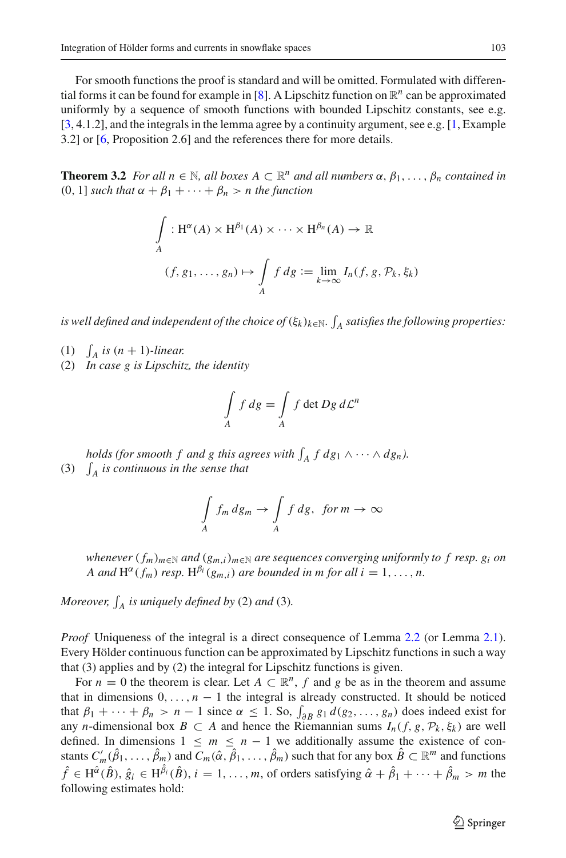For smooth functions the proof is standard and will be omitted. Formulated with differen-tial forms it can be found for example in [\[8](#page-26-5)]. A Lipschitz function on  $\mathbb{R}^n$  can be approximated uniformly by a sequence of smooth functions with bounded Lipschitz constants, see e.g. [\[3](#page-26-6), 4.1.2], and the integrals in the lemma agree by a continuity argument, see e.g. [\[1](#page-26-1), Example 3.2] or [\[6,](#page-26-3) Proposition 2.6] and the references there for more details.

<span id="page-5-0"></span>**Theorem 3.2** *For all n* ∈  $\mathbb{N}$ *, all boxes*  $A \subset \mathbb{R}^n$  *and all numbers*  $\alpha$ *,*  $\beta_1$ *,...,*  $\beta_n$  *contained in* (0, 1) *such that*  $\alpha + \beta_1 + \cdots + \beta_n > n$  *the function* 

$$
\int_{A} : H^{\alpha}(A) \times H^{\beta_1}(A) \times \cdots \times H^{\beta_n}(A) \to \mathbb{R}
$$
\n
$$
(f, g_1, \dots, g_n) \mapsto \int_{A} f \, dg := \lim_{k \to \infty} I_n(f, g, \mathcal{P}_k, \xi_k)
$$

is well defined and independent of the choice of  $(\xi_k)_{k\in\mathbb{N}}$ .  $\int_A$  satisfies the following properties:

- (1)  $\int_A$  *is*  $(n + 1)$ *-linear.*
- (2) *In case g is Lipschitz, the identity*

$$
\int\limits_A f \, dg = \int\limits_A f \, \det Dg \, d\mathcal{L}^n
$$

*holds (for smooth f and g this agrees with*  $\int_A f dg_1 \wedge \cdots \wedge dg_n$ ). (3)  $\int_A$  *is continuous in the sense that* 

$$
\int\limits_A f_m \, dg_m \to \int\limits_A f \, dg, \ \ \text{for } m \to \infty
$$

*whenever*  $(f_m)_{m \in \mathbb{N}}$  *and*  $(g_{m,i})_{m \in \mathbb{N}}$  *are sequences converging uniformly to f resp.*  $g_i$  *on A* and  $H^{\alpha}(f_m)$  *resp.*  $H^{\beta_i}(g_{m,i})$  *are bounded in m for all i* = 1, ..., *n*.

*Moreover,*  $\int_A$  *is uniquely defined by* (2) *and* (3)*.* 

*Proof* Uniqueness of the integral is a direct consequence of Lemma [2.2](#page-3-0) (or Lemma [2.1\)](#page-2-0). Every Hölder continuous function can be approximated by Lipschitz functions in such a way that (3) applies and by (2) the integral for Lipschitz functions is given.

For  $n = 0$  the theorem is clear. Let  $A \subset \mathbb{R}^n$ ,  $f$  and  $g$  be as in the theorem and assume that in dimensions  $0, \ldots, n-1$  the integral is already constructed. It should be noticed that  $\beta_1 + \cdots + \beta_n > n - 1$  since  $\alpha \leq 1$ . So,  $\int_{\partial B} g_1 d(g_2, \ldots, g_n)$  does indeed exist for any *n*-dimensional box  $B \subset A$  and hence the Riemannian sums  $I_n(f, g, \mathcal{P}_k, \xi_k)$  are well defined. In dimensions  $1 \leq m \leq n-1$  we additionally assume the existence of constants  $C'_m(\hat{\beta}_1,\ldots,\hat{\beta}_m)$  and  $C_m(\hat{\alpha},\hat{\beta}_1,\ldots,\hat{\beta}_m)$  such that for any box  $\hat{B} \subset \mathbb{R}^m$  and functions  $\hat{f} \in H^{\hat{\alpha}}(\hat{B}), \hat{g}_i \in H^{\hat{\beta}_i}(\hat{B}), i = 1, \ldots, m$ , of orders satisfying  $\hat{\alpha} + \hat{\beta}_1 + \cdots + \hat{\beta}_m > m$  the following estimates hold: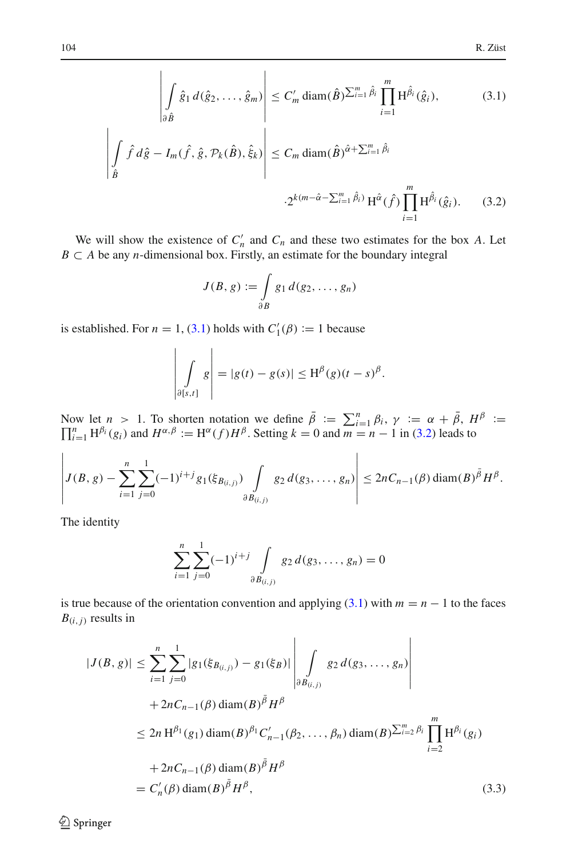<span id="page-6-0"></span>
$$
\left| \int_{\partial \hat{B}} \hat{g}_1 d(\hat{g}_2, \dots, \hat{g}_m) \right| \leq C'_m \operatorname{diam}(\hat{B}) \sum_{i=1}^m \hat{\beta}_i \prod_{i=1}^m H^{\hat{\beta}_i}(\hat{g}_i),
$$
(3.1)  

$$
\left| \int_{\hat{B}} \hat{f} d\hat{g} - I_m(\hat{f}, \hat{g}, \mathcal{P}_k(\hat{B}), \hat{\xi}_k) \right| \leq C_m \operatorname{diam}(\hat{B})^{\hat{\alpha} + \sum_{i=1}^m \hat{\beta}_i}
$$

$$
\cdot 2^{k(m - \hat{\alpha} - \sum_{i=1}^m \hat{\beta}_i)} H^{\hat{\alpha}}(\hat{f}) \prod_{i=1}^m H^{\hat{\beta}_i}(\hat{g}_i).
$$
(3.2)

We will show the existence of  $C'_n$  and  $C_n$  and these two estimates for the box *A*. Let *B*  $\subset$  *A* be any *n*-dimensional box. Firstly, an estimate for the boundary integral

$$
J(B, g) := \int_{\partial B} g_1 d(g_2, \ldots, g_n)
$$

is established. For  $n = 1$ , [\(3.1\)](#page-6-0) holds with  $C'_1(\beta) := 1$  because

$$
\left|\int_{\partial[s,t]} g\right| = |g(t) - g(s)| \leq H^{\beta}(g)(t - s)^{\beta}.
$$

Now let  $n > 1$ . To shorten notation we define  $\bar{\beta} := \sum_{i=1}^{n} \beta_i$ ,  $\gamma := \alpha + \bar{\beta}$ ,  $H^{\beta} := \prod_{i=1}^{n} H^{\beta_i}(g_i)$  and  $H^{\alpha,\beta} := H^{\alpha}(f)H^{\beta}$ . Setting  $k = 0$  and  $m = n - 1$  in [\(3.2\)](#page-6-0) leads to

$$
\left|J(B,g)-\sum_{i=1}^n\sum_{j=0}^1(-1)^{i+j}g_1(\xi_{B_{(i,j)}})\int\limits_{\partial B_{(i,j)}}g_2\,d(g_3,\ldots,g_n)\right|\leq 2nC_{n-1}(\beta)\operatorname{diam}(B)^{\bar{\beta}}H^{\beta}.
$$

The identity

$$
\sum_{i=1}^{n} \sum_{j=0}^{1} (-1)^{i+j} \int \limits_{\partial B_{(i,j)}} g_2 d(g_3, \dots, g_n) = 0
$$

<span id="page-6-1"></span>is true because of the orientation convention and applying  $(3.1)$  with  $m = n - 1$  to the faces  $B(i, j)$  results in

$$
|J(B, g)| \leq \sum_{i=1}^{n} \sum_{j=0}^{1} |g_1(\xi_{B_{(i,j)}}) - g_1(\xi_B)| \left| \int \limits_{\partial B_{(i,j)}} g_2 d(g_3, \dots, g_n) \right|
$$
  
+  $2nC_{n-1}(\beta) \operatorname{diam}(B)^{\bar{\beta}} H^{\beta}$   

$$
\leq 2n H^{\beta_1}(g_1) \operatorname{diam}(B)^{\beta_1} C'_{n-1}(\beta_2, \dots, \beta_n) \operatorname{diam}(B)^{\sum_{i=2}^{m} \beta_i} \prod_{i=2}^{m} H^{\beta_i}(g_i)
$$
  
+  $2nC_{n-1}(\beta) \operatorname{diam}(B)^{\bar{\beta}} H^{\beta}$   
=  $C'_n(\beta) \operatorname{diam}(B)^{\bar{\beta}} H^{\beta}$ , (3.3)

 $\bigcirc$  Springer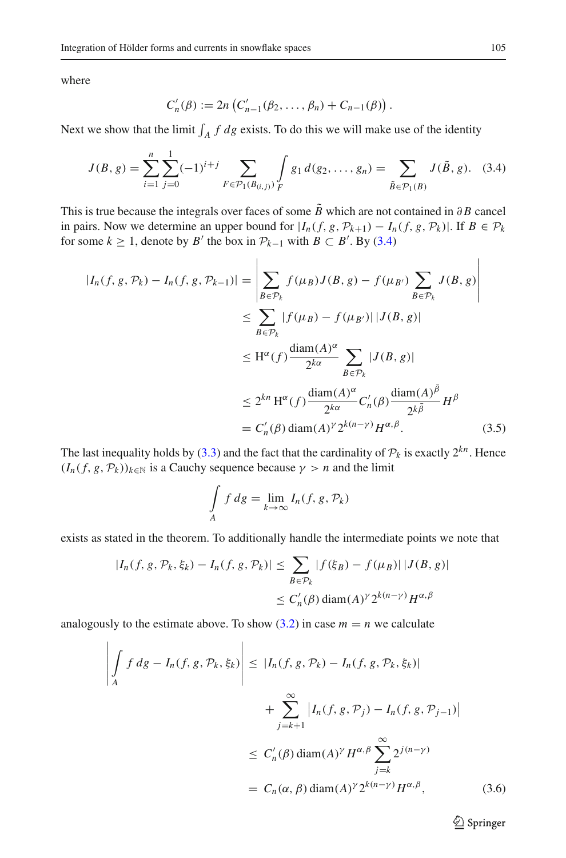where

$$
C'_{n}(\beta) := 2n \left( C'_{n-1}(\beta_2, ..., \beta_n) + C_{n-1}(\beta) \right).
$$

<span id="page-7-0"></span>Next we show that the limit  $\int_A f \, dg$  exists. To do this we will make use of the identity

$$
J(B,g) = \sum_{i=1}^{n} \sum_{j=0}^{1} (-1)^{i+j} \sum_{F \in \mathcal{P}_1(B_{(i,j)})} \int_{F} g_1 d(g_2, \dots, g_n) = \sum_{\tilde{B} \in \mathcal{P}_1(B)} J(\tilde{B}, g). \quad (3.4)
$$

This is true because the integrals over faces of some  $\tilde{B}$  which are not contained in ∂*B* cancel in pairs. Now we determine an upper bound for  $|I_n(f, g, \mathcal{P}_{k+1}) - I_n(f, g, \mathcal{P}_k)|$ . If  $B \in \mathcal{P}_k$ for some  $k \geq 1$ , denote by *B'* the box in  $\mathcal{P}_{k-1}$  with  $B \subset B'$ . By [\(3.4\)](#page-7-0)

$$
|I_n(f, g, \mathcal{P}_k) - I_n(f, g, \mathcal{P}_{k-1})| = \left| \sum_{B \in \mathcal{P}_k} f(\mu_B) J(B, g) - f(\mu_{B'}) \sum_{B \in \mathcal{P}_k} J(B, g) \right|
$$
  
\n
$$
\leq \sum_{B \in \mathcal{P}_k} |f(\mu_B) - f(\mu_{B'})| |J(B, g)|
$$
  
\n
$$
\leq H^{\alpha}(f) \frac{\text{diam}(A)^{\alpha}}{2^{k\alpha}} \sum_{B \in \mathcal{P}_k} |J(B, g)|
$$
  
\n
$$
\leq 2^{kn} H^{\alpha}(f) \frac{\text{diam}(A)^{\alpha}}{2^{k\alpha}} C'_n(\beta) \frac{\text{diam}(A)^{\bar{\beta}}}{2^{k\bar{\beta}}} H^{\beta}
$$
  
\n
$$
= C'_n(\beta) \text{diam}(A)^{\gamma} 2^{k(n-\gamma)} H^{\alpha, \beta}.
$$
 (3.5)

The last inequality holds by [\(3.3\)](#page-6-1) and the fact that the cardinality of  $P_k$  is exactly  $2^{kn}$ . Hence  $(I_n(f, g, \mathcal{P}_k))_{k \in \mathbb{N}}$  is a Cauchy sequence because  $\gamma > n$  and the limit

$$
\int\limits_A f\,dg = \lim\limits_{k\to\infty} I_n(f,g,\mathcal{P}_k)
$$

exists as stated in the theorem. To additionally handle the intermediate points we note that

$$
|I_n(f, g, \mathcal{P}_k, \xi_k) - I_n(f, g, \mathcal{P}_k)| \le \sum_{B \in \mathcal{P}_k} |f(\xi_B) - f(\mu_B)| |J(B, g)|
$$
  

$$
\le C'_n(\beta) \operatorname{diam}(A)^\gamma 2^{k(n-\gamma)} H^{\alpha, \beta}
$$

<span id="page-7-1"></span>analogously to the estimate above. To show  $(3.2)$  in case  $m = n$  we calculate

$$
\left| \int_{A} f dg - I_n(f, g, \mathcal{P}_k, \xi_k) \right| \leq |I_n(f, g, \mathcal{P}_k) - I_n(f, g, \mathcal{P}_k, \xi_k)|
$$
  
+ 
$$
\sum_{j=k+1}^{\infty} |I_n(f, g, \mathcal{P}_j) - I_n(f, g, \mathcal{P}_{j-1})|
$$
  

$$
\leq C'_n(\beta) \operatorname{diam}(A)^{\gamma} H^{\alpha, \beta} \sum_{j=k}^{\infty} 2^{j(n-\gamma)}
$$
  
=  $C_n(\alpha, \beta) \operatorname{diam}(A)^{\gamma} 2^{k(n-\gamma)} H^{\alpha, \beta},$  (3.6)

 $\bigcirc$  Springer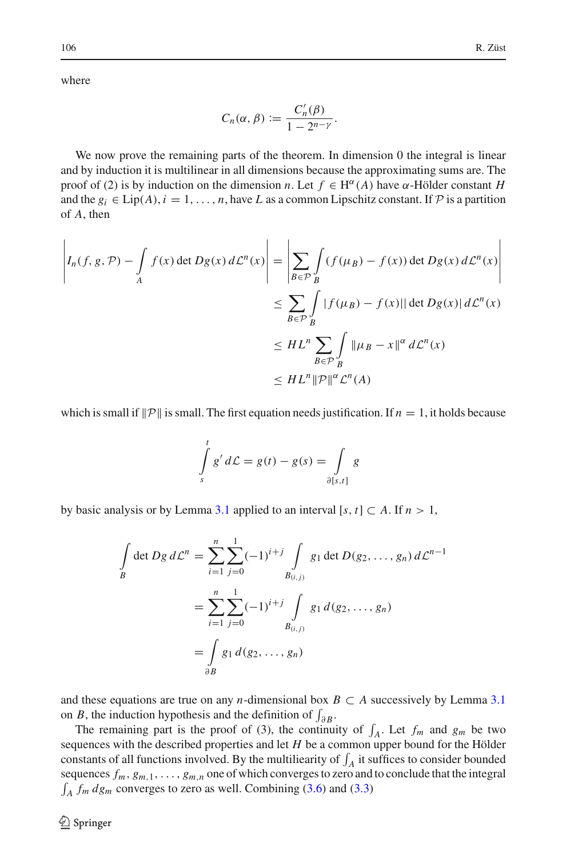where

$$
C_n(\alpha,\beta):=\frac{C'_n(\beta)}{1-2^{n-\gamma}}.
$$

We now prove the remaining parts of the theorem. In dimension 0 the integral is linear and by induction it is multilinear in all dimensions because the approximating sums are. The proof of (2) is by induction on the dimension *n*. Let  $f \in H^{\alpha}(A)$  have  $\alpha$ -Hölder constant *H* and the  $g_i \in \text{Lip}(A), i = 1, \ldots, n$ , have *L* as a common Lipschitz constant. If  $P$  is a partition of *A*, then

$$
\left| I_n(f, g, \mathcal{P}) - \int_A f(x) \det Dg(x) d\mathcal{L}^n(x) \right| = \left| \sum_{B \in \mathcal{P}} \int_B (f(\mu_B) - f(x)) \det Dg(x) d\mathcal{L}^n(x) \right|
$$
  

$$
\leq \sum_{B \in \mathcal{P}} \int_B |f(\mu_B) - f(x)| | \det Dg(x) | d\mathcal{L}^n(x)
$$
  

$$
\leq H L^n \sum_{B \in \mathcal{P}} \int_B \|\mu_B - x\|^{\alpha} d\mathcal{L}^n(x)
$$
  

$$
\leq H L^n \|\mathcal{P}\|^{\alpha} \mathcal{L}^n(A)
$$

which is small if  $\|P\|$  is small. The first equation needs justification. If  $n = 1$ , it holds because

$$
\int_{s}^{t} g' d\mathcal{L} = g(t) - g(s) = \int_{\partial [s,t]} g
$$

by basic analysis or by Lemma [3.1](#page-4-0) applied to an interval [s, t]  $\subset A$ . If  $n > 1$ ,

$$
\int_{B} \det Dg \, d\mathcal{L}^{n} = \sum_{i=1}^{n} \sum_{j=0}^{1} (-1)^{i+j} \int_{B_{(i,j)}} g_1 \det D(g_2, \dots, g_n) \, d\mathcal{L}^{n-1}
$$
\n
$$
= \sum_{i=1}^{n} \sum_{j=0}^{1} (-1)^{i+j} \int_{B_{(i,j)}} g_1 \, d(g_2, \dots, g_n)
$$
\n
$$
= \int_{\partial B} g_1 \, d(g_2, \dots, g_n)
$$

and these equations are true on any *n*-dimensional box  $B \subset A$  successively by Lemma [3.1](#page-4-0) on *B*, the induction hypothesis and the definition of  $\int_{\partial B}$ .

The remaining part is the proof of (3), the continuity of  $\int_A$ . Let  $f_m$  and  $g_m$  be two sequences with the described properties and let *H* be a common upper bound for the Hölder constants of all functions involved. By the multiliearity of  $\int_A$  it suffices to consider bounded sequences  $f_m$ ,  $g_{m,1}$ , ...,  $g_{m,n}$  one of which converges to zero and to conclude that the integral  $\int_A f_m dg_m$  converges to zero as well. Combining [\(3.6\)](#page-7-1) and [\(3.3\)](#page-6-1)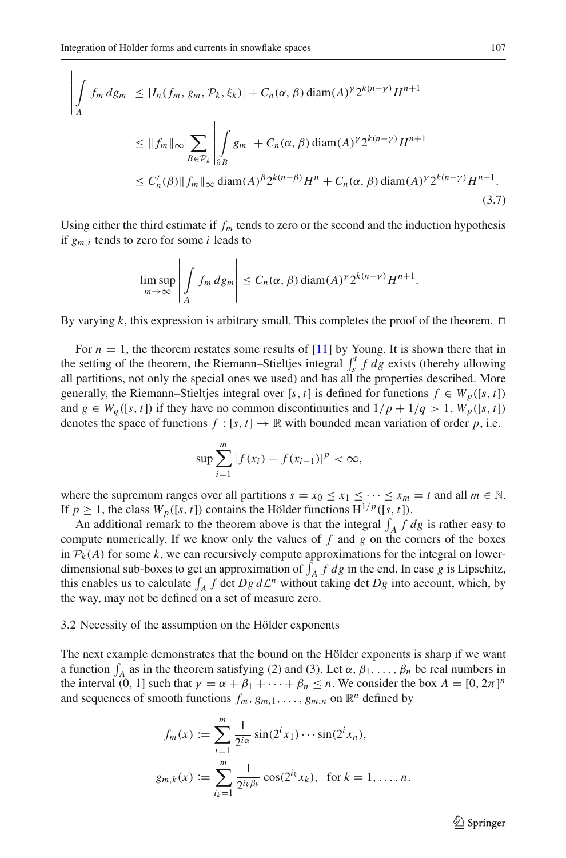<span id="page-9-0"></span>
$$
\left| \int_{A} f_m dg_m \right| \leq |I_n(f_m, g_m, \mathcal{P}_k, \xi_k)| + C_n(\alpha, \beta) \operatorname{diam}(A)^{\gamma} 2^{k(n-\gamma)} H^{n+1}
$$
  
\n
$$
\leq \|f_m\|_{\infty} \sum_{B \in \mathcal{P}_k} \left| \int_{\partial B} g_m \right| + C_n(\alpha, \beta) \operatorname{diam}(A)^{\gamma} 2^{k(n-\gamma)} H^{n+1}
$$
  
\n
$$
\leq C'_n(\beta) \|f_m\|_{\infty} \operatorname{diam}(A)^{\bar{\beta}} 2^{k(n-\bar{\beta})} H^n + C_n(\alpha, \beta) \operatorname{diam}(A)^{\gamma} 2^{k(n-\gamma)} H^{n+1}.
$$
\n(3.7)

Using either the third estimate if  $f_m$  tends to zero or the second and the induction hypothesis if *gm*,*<sup>i</sup>* tends to zero for some *i* leads to

$$
\limsup_{m\to\infty}\left|\int_A f_m dg_m\right|\leq C_n(\alpha,\beta)\operatorname{diam}(A)^{\gamma}2^{k(n-\gamma)}H^{n+1}.
$$

By varying k, this expression is arbitrary small. This completes the proof of the theorem.  $\Box$ 

For  $n = 1$ , the theorem restates some results of [\[11\]](#page-26-0) by Young. It is shown there that in the setting of the theorem, the Riemann–Stieltjes integral  $\int_{s}^{t} f dg$  exists (thereby allowing all partitions, not only the special ones we used) and has all the properties described. More generally, the Riemann–Stieltjes integral over [*s*, *t*] is defined for functions  $f \in W_p([s, t])$ and  $g \in W_a([s, t])$  if they have no common discontinuities and  $1/p + 1/q > 1$ .  $W_p([s, t])$ denotes the space of functions  $f : [s, t] \to \mathbb{R}$  with bounded mean variation of order p, i.e.

$$
\sup \sum_{i=1}^{m} |f(x_i) - f(x_{i-1})|^p < \infty,
$$

where the supremum ranges over all partitions  $s = x_0 \le x_1 \le \cdots \le x_m = t$  and all  $m \in \mathbb{N}$ . If  $p \ge 1$ , the class  $W_p([s, t])$  contains the Hölder functions  $H^{1/p}([s, t])$ .

An additional remark to the theorem above is that the integral  $\int_A f \, dg$  is rather easy to compute numerically. If we know only the values of *f* and *g* on the corners of the boxes in  $P_k(A)$  for some *k*, we can recursively compute approximations for the integral on lowerdimensional sub-boxes to get an approximation of  $\int_A f \, dg$  in the end. In case g is Lipschitz, this enables us to calculate  $\int_A f \, \text{det } Dg \, d\mathcal{L}^n$  without taking det  $Dg$  into account, which, by the way, may not be defined on a set of measure zero.

# <span id="page-9-1"></span>3.2 Necessity of the assumption on the Hölder exponents

The next example demonstrates that the bound on the Hölder exponents is sharp if we want a function  $\int_A$  as in the theorem satisfying (2) and (3). Let  $\alpha$ ,  $\beta_1$ , ...,  $\beta_n$  be real numbers in the interval (0, 1) such that  $\gamma = \alpha + \beta_1 + \cdots + \beta_n \le n$ . We consider the box  $A = [0, 2\pi]^n$ and sequences of smooth functions  $f_m$ ,  $g_{m,1}$ , ...,  $g_{m,n}$  on  $\mathbb{R}^n$  defined by

$$
f_m(x) := \sum_{i=1}^m \frac{1}{2^{i\alpha}} \sin(2^i x_1) \cdots \sin(2^i x_n),
$$
  

$$
g_{m,k}(x) := \sum_{i_k=1}^m \frac{1}{2^{i_k \beta_k}} \cos(2^{i_k} x_k), \text{ for } k = 1, ..., n.
$$

 $\circled{2}$  Springer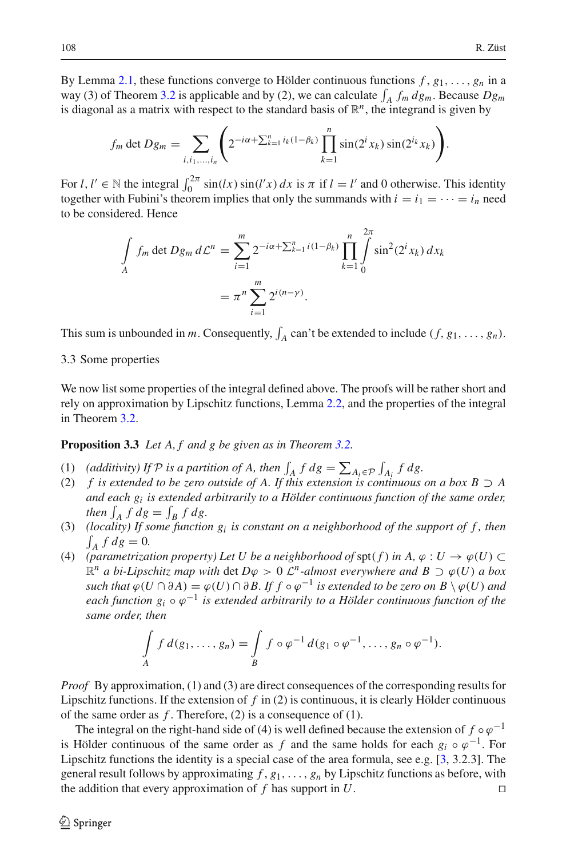By Lemma [2.1,](#page-2-0) these functions converge to Hölder continuous functions  $f$ ,  $g_1$ , ...,  $g_n$  in a way (3) of Theorem [3.2](#page-5-0) is applicable and by (2), we can calculate  $\int_A f_m dg_m$ . Because  $Dg_m$ is diagonal as a matrix with respect to the standard basis of  $\mathbb{R}^n$ , the integrand is given by

$$
f_m \det Dg_m = \sum_{i,i_1,...,i_n} \left( 2^{-i\alpha + \sum_{k=1}^n i_k(1-\beta_k)} \prod_{k=1}^n \sin(2^i x_k) \sin(2^{i_k} x_k) \right).
$$

For  $l, l' \in \mathbb{N}$  the integral  $\int_0^{2\pi} \sin(lx) \sin(l'x) dx$  is  $\pi$  if  $l = l'$  and 0 otherwise. This identity together with Fubini's theorem implies that only the summands with  $i = i_1 = \cdots = i_n$  need to be considered. Hence

$$
\int\limits_A f_m \det Dg_m \, d\mathcal{L}^n = \sum_{i=1}^m 2^{-i\alpha + \sum_{k=1}^n i(1-\beta_k)} \prod_{k=1}^n \int\limits_0^{2\pi} \sin^2(2^i x_k) \, dx_k
$$
\n
$$
= \pi^n \sum_{i=1}^m 2^{i(n-\gamma)}.
$$

This sum is unbounded in *m*. Consequently,  $\int_A$  can't be extended to include  $(f, g_1, \ldots, g_n)$ .

# 3.3 Some properties

We now list some properties of the integral defined above. The proofs will be rather short and rely on approximation by Lipschitz functions, Lemma [2.2,](#page-3-0) and the properties of the integral in Theorem [3.2.](#page-5-0)

<span id="page-10-0"></span>**Proposition 3.3** *Let A, f and g be given as in Theorem [3.2.](#page-5-0)*

- (1) (additivity) If  $P$  is a partition of A, then  $\int_A f \, dg = \sum_{A_i \in P} \int_{A_i} f \, dg$ .
- (2) *f is extended to be zero outside of A. If this extension is continuous on a box B*  $\supset$  *A and each gi is extended arbitrarily to a Hölder continuous function of the same order,* then  $\int_A f \, dg = \int_B f \, dg$ .
- (3) *(locality) If some function*  $g_i$  *is constant on a neighborhood of the support of f, then*  $\int_A f \, dg = 0.$
- (4) *(parametrization property) Let U be a neighborhood of*  $\text{spt}(f)$  *in A,*  $\varphi : U \to \varphi(U) \subset$  $\mathbb{R}^n$  *a bi-Lipschitz map with det D* $\varphi > 0$  *L<sup>n</sup>-almost everywhere and B* ⊃  $\varphi$ (*U*) *a box such that*  $\varphi(U \cap \partial A) = \varphi(U) \cap \partial B$ . If  $f \circ \varphi^{-1}$  *is extended to be zero on*  $B \setminus \varphi(U)$  *and each function*  $g_i \circ \varphi^{-1}$  *is extended arbitrarily to a Hölder continuous function of the same order, then*

$$
\int\limits_A f\,d(g_1,\ldots,g_n)=\int\limits_B f\circ\varphi^{-1}\,d(g_1\circ\varphi^{-1},\ldots,g_n\circ\varphi^{-1}).
$$

*Proof* By approximation, (1) and (3) are direct consequences of the corresponding results for Lipschitz functions. If the extension of *f* in (2) is continuous, it is clearly Hölder continuous of the same order as *f* . Therefore, (2) is a consequence of (1).

The integral on the right-hand side of (4) is well defined because the extension of  $f \circ \varphi^{-1}$ is Hölder continuous of the same order as *f* and the same holds for each  $g_i \circ \varphi^{-1}$ . For Lipschitz functions the identity is a special case of the area formula, see e.g. [\[3,](#page-26-6) 3.2.3]. The general result follows by approximating  $f, g_1, \ldots, g_n$  by Lipschitz functions as before, with the addition that every approximation of *f* has support in *U*.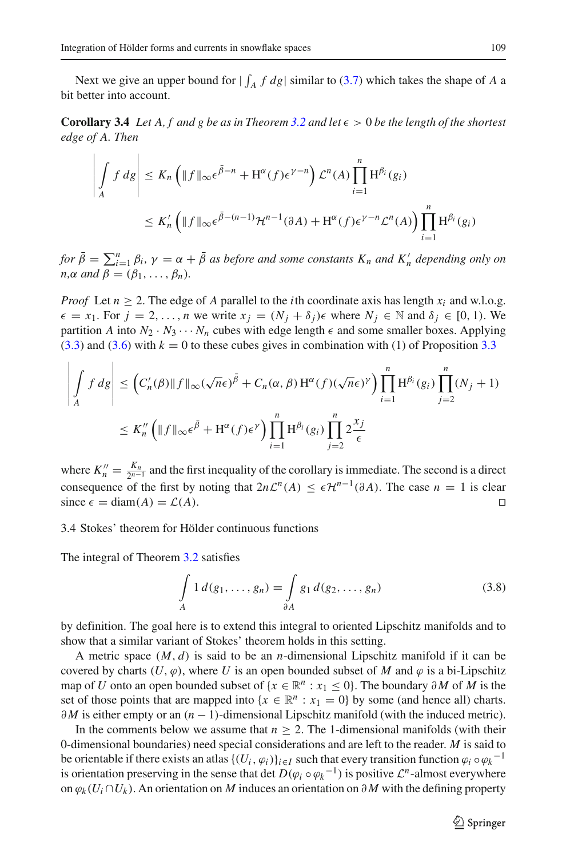<span id="page-11-1"></span>Next we give an upper bound for  $|\int_A f \, dg|$  similar to [\(3.7\)](#page-9-0) which takes the shape of *A* a bit better into account.

<span id="page-11-0"></span>**Corollary 3.4** *Let* A, f and g be as in Theorem [3.2](#page-5-0) and let  $\epsilon > 0$  be the length of the shortest *edge of A. Then*

$$
\left| \int_A f \, d\mathbf{g} \right| \le K_n \left( \|f\|_{\infty} \epsilon^{\bar{\beta} - n} + \mathbf{H}^{\alpha}(f) \epsilon^{\gamma - n} \right) \mathcal{L}^n(A) \prod_{i=1}^n \mathbf{H}^{\beta_i}(g_i)
$$
  

$$
\le K'_n \left( \|f\|_{\infty} \epsilon^{\bar{\beta} - (n-1)} \mathcal{H}^{n-1}(\partial A) + \mathbf{H}^{\alpha}(f) \epsilon^{\gamma - n} \mathcal{L}^n(A) \right) \prod_{i=1}^n \mathbf{H}^{\beta_i}(g_i)
$$

*for*  $\bar{\beta} = \sum_{i=1}^{n} \beta_i$ ,  $\gamma = \alpha + \bar{\beta}$  *as before and some constants*  $K_n$  *and*  $K'_n$  *depending only on n*, $\alpha$  *and*  $\beta = (\beta_1, \ldots, \beta_n)$ *.* 

*Proof* Let  $n \ge 2$ . The edge of *A* parallel to the *i*th coordinate axis has length  $x_i$  and w.l.o.g.  $\epsilon = x_1$ . For  $j = 2, ..., n$  we write  $x_j = (N_j + \delta_j)\epsilon$  where  $N_j \in \mathbb{N}$  and  $\delta_j \in [0, 1)$ . We partition *A* into  $N_2 \cdot N_3 \cdots N_n$  cubes with edge length  $\epsilon$  and some smaller boxes. Applying  $(3.3)$  and  $(3.6)$  with  $k = 0$  to these cubes gives in combination with (1) of Proposition [3.3](#page-10-0)

$$
\left| \int_A f \, d\mathbf{g} \right| \le \left( C'_n(\beta) \| f \|_{\infty} (\sqrt{n} \epsilon)^{\bar{\beta}} + C_n(\alpha, \beta) \mathbf{H}^{\alpha}(f) (\sqrt{n} \epsilon)^{\gamma} \right) \prod_{i=1}^n \mathbf{H}^{\beta_i}(g_i) \prod_{j=2}^n (N_j + 1)
$$
  

$$
\le K''_n \left( \| f \|_{\infty} \epsilon^{\bar{\beta}} + \mathbf{H}^{\alpha}(f) \epsilon^{\gamma} \right) \prod_{i=1}^n \mathbf{H}^{\beta_i}(g_i) \prod_{j=2}^n 2 \frac{x_j}{\epsilon}
$$

where  $K_n'' = \frac{K_n}{2^{n-1}}$  and the first inequality of the corollary is immediate. The second is a direct consequence of the first by noting that  $2n\mathcal{L}^n(A) \leq \epsilon \mathcal{H}^{n-1}(\partial A)$ . The case  $n = 1$  is clear since  $\epsilon = \text{diam}(A) = \mathcal{L}(A)$ . since  $\epsilon = \text{diam}(A) = \mathcal{L}(A)$ .

# 3.4 Stokes' theorem for Hölder continuous functions

The integral of Theorem [3.2](#page-5-0) satisfies

$$
\int_{A} 1 d(g_1, \dots, g_n) = \int_{\partial A} g_1 d(g_2, \dots, g_n)
$$
\n(3.8)

by definition. The goal here is to extend this integral to oriented Lipschitz manifolds and to show that a similar variant of Stokes' theorem holds in this setting.

A metric space  $(M, d)$  is said to be an *n*-dimensional Lipschitz manifold if it can be covered by charts  $(U, \varphi)$ , where U is an open bounded subset of M and  $\varphi$  is a bi-Lipschitz map of *U* onto an open bounded subset of  $\{x \in \mathbb{R}^n : x_1 \leq 0\}$ . The boundary ∂*M* of *M* is the set of those points that are mapped into  $\{x \in \mathbb{R}^n : x_1 = 0\}$  by some (and hence all) charts. ∂*M* is either empty or an  $(n - 1)$ -dimensional Lipschitz manifold (with the induced metric).

In the comments below we assume that  $n \geq 2$ . The 1-dimensional manifolds (with their 0-dimensional boundaries) need special considerations and are left to the reader. *M* is said to be orientable if there exists an atlas  $\{(U_i, \varphi_i)\}_{i \in I}$  such that every transition function  $\varphi_i \circ \varphi_k^{-1}$ is orientation preserving in the sense that det  $D(\varphi_i \circ \varphi_k^{-1})$  is positive  $\mathcal{L}^n$ -almost everywhere on  $\varphi_k(U_i \cap U_k)$ . An orientation on *M* induces an orientation on ∂*M* with the defining property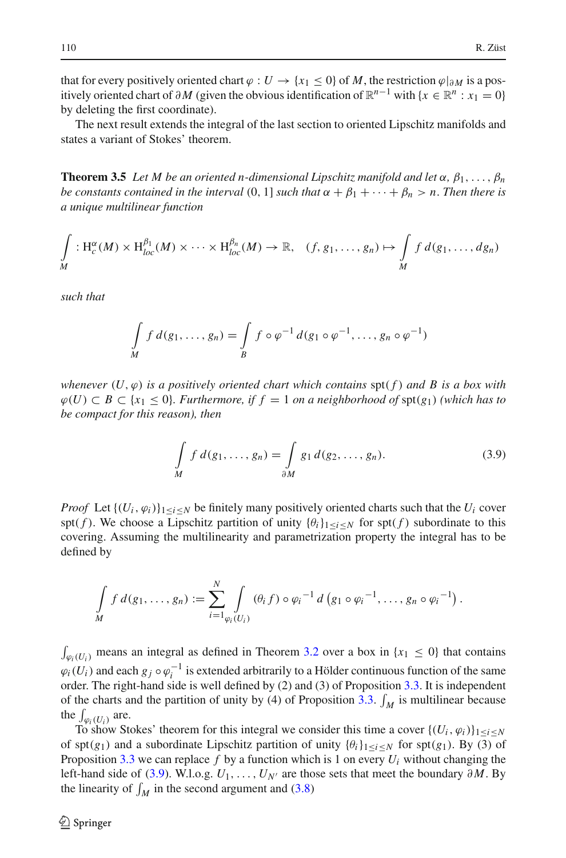that for every positively oriented chart  $\varphi : U \to \{x_1 \leq 0\}$  of *M*, the restriction  $\varphi|_{\partial M}$  is a positively oriented chart of  $\partial M$  (given the obvious identification of  $\mathbb{R}^{n-1}$  with {*x* ∈  $\mathbb{R}^n$  : *x*<sub>1</sub> = 0} by deleting the first coordinate).

<span id="page-12-1"></span>The next result extends the integral of the last section to oriented Lipschitz manifolds and states a variant of Stokes' theorem.

**Theorem 3.5** *Let M be an oriented n-dimensional Lipschitz manifold and let*  $\alpha$ ,  $\beta_1, \ldots, \beta_n$ *be constants contained in the interval* (0, 1] *such that*  $\alpha + \beta_1 + \cdots + \beta_n > n$ . *Then there is a unique multilinear function*

$$
\int\limits_M : \mathrm{H}_c^{\alpha}(M) \times \mathrm{H}^{\beta_1}_{loc}(M) \times \cdots \times \mathrm{H}^{\beta_n}_{loc}(M) \to \mathbb{R}, \quad (f, g_1, \ldots, g_n) \mapsto \int\limits_M f \, d(g_1, \ldots, dg_n)
$$

*such that*

$$
\int\limits_M f\,d(g_1,\ldots,g_n)=\int\limits_B f\circ\varphi^{-1}\,d(g_1\circ\varphi^{-1},\ldots,g_n\circ\varphi^{-1})
$$

*whenever*  $(U, \varphi)$  *is a positively oriented chart which contains*  $\text{spt}(f)$  *and B is a box with*  $\varphi$ (*U*) ⊂ *B* ⊂ {*x*<sub>1</sub> ≤ 0}*. Furthermore, if f* = 1 *on a neighborhood of* spt(*g*<sub>1</sub>) *(which has to be compact for this reason), then*

$$
\int\limits_M f d(g_1,\ldots,g_n) = \int\limits_{\partial M} g_1 d(g_2,\ldots,g_n). \tag{3.9}
$$

<span id="page-12-0"></span>*Proof* Let  $\{(U_i, \varphi_i)\}_{1 \leq i \leq N}$  be finitely many positively oriented charts such that the  $U_i$  cover spt(*f*). We choose a Lipschitz partition of unity  $\{\theta_i\}_{1 \le i \le N}$  for spt(*f*) subordinate to this covering. Assuming the multilinearity and parametrization property the integral has to be defined by

$$
\int\limits_M f\,d(g_1,\ldots,g_n) := \sum_{i=1}^N \int\limits_{\varphi_i(U_i)} (\theta_i f) \circ \varphi_i^{-1} d\left(g_1 \circ \varphi_i^{-1},\ldots,g_n \circ \varphi_i^{-1}\right).
$$

 $\int_{\varphi_i(U_i)}$  means an integral as defined in Theorem [3.2](#page-5-0) over a box in  $\{x_1 \leq 0\}$  that contains  $\varphi_i(U_i)$  and each  $g_j \circ \varphi_i^{-1}$  is extended arbitrarily to a Hölder continuous function of the same order. The right-hand side is well defined by (2) and (3) of Proposition [3.3.](#page-10-0) It is independent of the charts and the partition of unity by (4) of Proposition [3.3.](#page-10-0)  $\int_M$  is multilinear because the  $\int_{\varphi_i(U_i)}$  are.

To show Stokes' theorem for this integral we consider this time a cover  $\{(U_i, \varphi_i)\}_{1 \leq i \leq N}$ of spt( $g_1$ ) and a subordinate Lipschitz partition of unity  ${\theta_i}_{1 \le i \le N}$  for spt( $g_1$ ). By (3) of Proposition [3.3](#page-10-0) we can replace *f* by a function which is 1 on every *Ui* without changing the left-hand side of [\(3.9\)](#page-12-0). W.l.o.g.  $U_1, \ldots, U_{N'}$  are those sets that meet the boundary ∂*M*. By the linearity of  $\int_M$  in the second argument and [\(3.8\)](#page-11-0)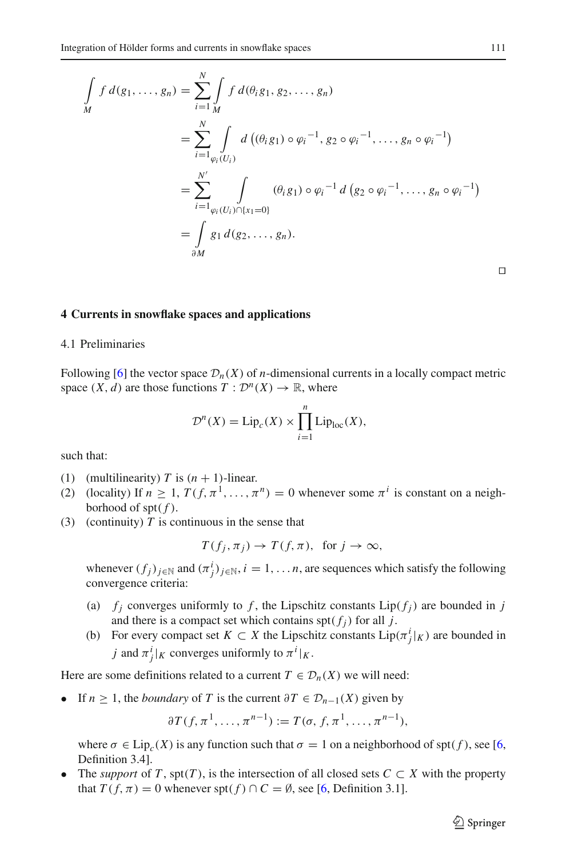$$
\int_{M} f d(g_1, ..., g_n) = \sum_{i=1}^{N} \int_{M} f d(\theta_i g_1, g_2, ..., g_n)
$$
\n
$$
= \sum_{i=1}^{N} \int_{\varphi_i(U_i)} d((\theta_i g_1) \circ \varphi_i^{-1}, g_2 \circ \varphi_i^{-1}, ..., g_n \circ \varphi_i^{-1})
$$
\n
$$
= \sum_{i=1}^{N'} \int_{\varphi_i(U_i) \cap \{x_1 = 0\}} (\theta_i g_1) \circ \varphi_i^{-1} d(g_2 \circ \varphi_i^{-1}, ..., g_n \circ \varphi_i^{-1})
$$
\n
$$
= \int_{\partial M} g_1 d(g_2, ..., g_n).
$$

#### **4 Currents in snowflake spaces and applications**

# 4.1 Preliminaries

Following [\[6\]](#page-26-3) the vector space  $\mathcal{D}_n(X)$  of *n*-dimensional currents in a locally compact metric space  $(X, d)$  are those functions  $T : \mathcal{D}^n(X) \to \mathbb{R}$ , where

$$
\mathcal{D}^n(X) = \text{Lip}_c(X) \times \prod_{i=1}^n \text{Lip}_{\text{loc}}(X),
$$

such that:

- (1) (multilinearity) *T* is  $(n + 1)$ -linear.
- (2) (locality) If  $n \ge 1$ ,  $T(f, \pi^1, \ldots, \pi^n) = 0$  whenever some  $\pi^i$  is constant on a neighborhood of spt $(f)$ .
- (3) (continuity)  $T$  is continuous in the sense that

$$
T(f_j, \pi_j) \to T(f, \pi)
$$
, for  $j \to \infty$ ,

whenever  $(f_j)_{j \in \mathbb{N}}$  and  $(\pi_j^i)_{j \in \mathbb{N}}$ ,  $i = 1, \dots n$ , are sequences which satisfy the following convergence criteria:

- (a)  $f_i$  converges uniformly to f, the Lipschitz constants  $Lip(f_i)$  are bounded in j and there is a compact set which contains  $\text{spt}(f_i)$  for all *j*.
- (b) For every compact set  $K \subset X$  the Lipschitz constants  $\text{Lip}(\pi_j^i|_K)$  are bounded in *j* and  $\pi_j^i|_K$  converges uniformly to  $\pi^i|_K$ .

Here are some definitions related to a current  $T \in \mathcal{D}_n(X)$  we will need:

• If *n*  $\geq 1$ , the *boundary* of *T* is the current  $\partial T \in \mathcal{D}_{n-1}(X)$  given by

$$
\partial T(f, \pi^1, \dots, \pi^{n-1}) := T(\sigma, f, \pi^1, \dots, \pi^{n-1}),
$$

where  $\sigma \in \text{Lip}_{c}(X)$  is any function such that  $\sigma = 1$  on a neighborhood of spt(f), see [\[6,](#page-26-3) Definition 3.4].

• The *support* of *T*, spt(*T*), is the intersection of all closed sets  $C \subset X$  with the property that  $T(f, \pi) = 0$  whenever spt $(f) \cap C = \emptyset$ , see [\[6,](#page-26-3) Definition 3.1].

 $\circled{2}$  Springer

 $\Box$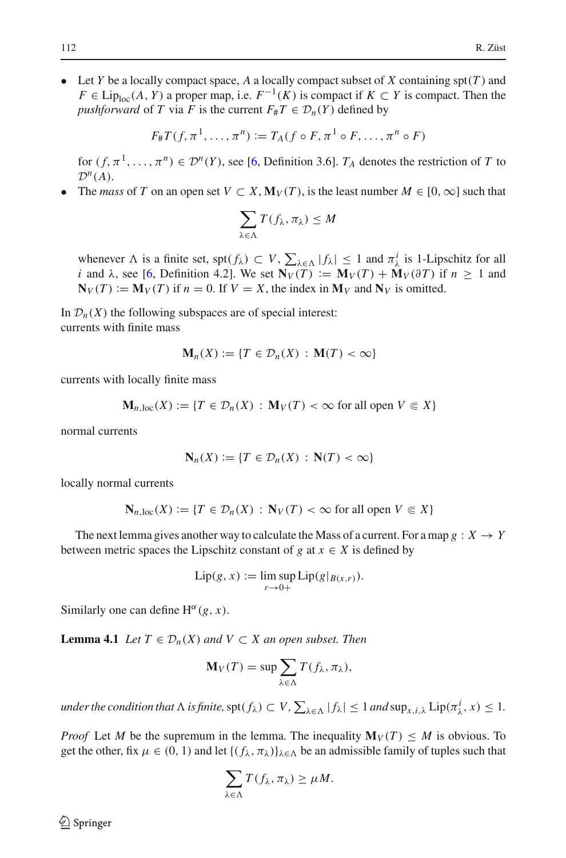• Let *Y* be a locally compact space, *A* a locally compact subset of *X* containing  $\text{spr}(T)$  and *F* ∈ Lip<sub>loc</sub>(*A*, *Y*) a proper map, i.e.  $F^{-1}(K)$  is compact if  $K \subset Y$  is compact. Then the *pushforward* of *T* via *F* is the current  $F_{#}T \in D_{n}(Y)$  defined by

$$
F_{\#}T(f, \pi^1, \ldots, \pi^n) := T_A(f \circ F, \pi^1 \circ F, \ldots, \pi^n \circ F)
$$

for  $(f, \pi^1, \ldots, \pi^n) \in \mathcal{D}^n(Y)$ , see [\[6,](#page-26-3) Definition 3.6].  $T_A$  denotes the restriction of *T* to  $\mathcal{D}^n(A)$ .

The *mass* of *T* on an open set  $V \subset X$ ,  $\mathbf{M}_V(T)$ , is the least number  $M \in [0, \infty]$  such that

$$
\sum_{\lambda \in \Lambda} T(f_{\lambda}, \pi_{\lambda}) \leq M
$$

whenever  $\Lambda$  is a finite set, spt $(f_{\lambda}) \subset V$ ,  $\sum_{\lambda \in \Lambda} |f_{\lambda}| \leq 1$  and  $\pi_{\lambda}^{i}$  is 1-Lipschitz for all *i* and  $\lambda$ , see [\[6,](#page-26-3) Definition 4.2]. We set  $\overline{N_V(T)} := M_V(T) + M_V(\partial T)$  if  $n \ge 1$  and  $N_V(T) := M_V(T)$  if  $n = 0$ . If  $V = X$ , the index in  $M_V$  and  $N_V$  is omitted.

In  $\mathcal{D}_n(X)$  the following subspaces are of special interest: currents with finite mass

$$
\mathbf{M}_n(X) := \{ T \in \mathcal{D}_n(X) : \mathbf{M}(T) < \infty \}
$$

currents with locally finite mass

$$
\mathbf{M}_{n,\text{loc}}(X) := \{ T \in \mathcal{D}_n(X) : \mathbf{M}_V(T) < \infty \text{ for all open } V \subseteq X \}
$$

normal currents

$$
\mathbf{N}_n(X) := \{ T \in \mathcal{D}_n(X) : \mathbf{N}(T) < \infty \}
$$

locally normal currents

$$
\mathbf{N}_{n,\text{loc}}(X) := \{ T \in \mathcal{D}_n(X) : \mathbf{N}_V(T) < \infty \text{ for all open } V \subseteq X \}
$$

The next lemma gives another way to calculate the Mass of a current. For a map  $g: X \to Y$ between metric spaces the Lipschitz constant of *g* at  $x \in X$  is defined by

$$
\text{Lip}(g, x) := \limsup_{r \to 0+} \text{Lip}(g|_{B(x,r)}).
$$

<span id="page-14-0"></span>Similarly one can define  $H^{\alpha}(g, x)$ .

**Lemma 4.1** *Let*  $T$  ∈  $\mathcal{D}_n(X)$  *and*  $V$  ⊂ *X an open subset. Then* 

$$
\mathbf{M}_V(T) = \sup \sum_{\lambda \in \Lambda} T(f_{\lambda}, \pi_{\lambda}),
$$

*under the condition that*  $\Lambda$  *is finite,*  $\text{spt}(f_\lambda) \subset V$ ,  $\sum_{\lambda \in \Lambda} |f_\lambda| \leq 1$  *and*  $\text{sup}_{x,i,\lambda} \text{Lip}(\pi_\lambda^i, x) \leq 1$ .

*Proof* Let *M* be the supremum in the lemma. The inequality  $\mathbf{M}_V(T) \leq M$  is obvious. To get the other, fix  $\mu \in (0, 1)$  and let  $\{(f_\lambda, \pi_\lambda)\}_{\lambda \in \Lambda}$  be an admissible family of tuples such that

$$
\sum_{\lambda \in \Lambda} T(f_{\lambda}, \pi_{\lambda}) \geq \mu M.
$$

 $\mathcal{L}$  Springer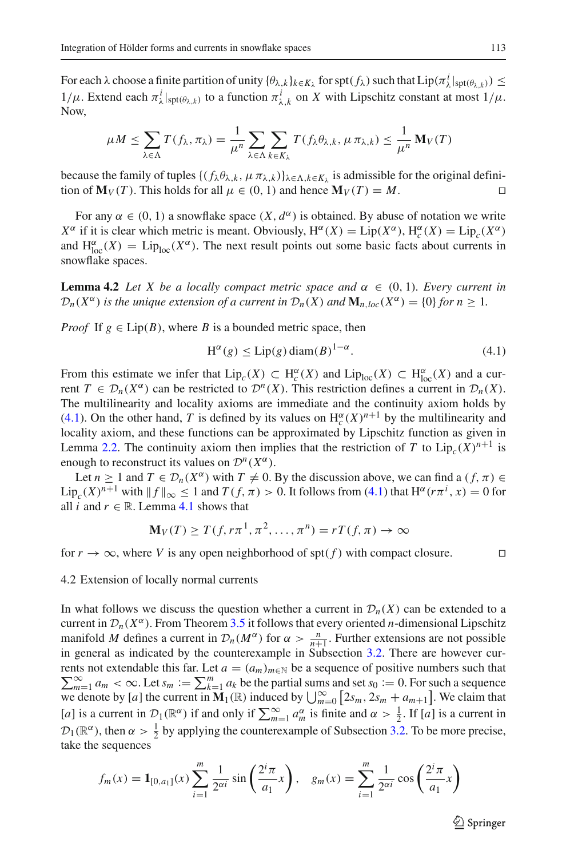For each  $\lambda$  choose a finite partition of unity  $\{\theta_{\lambda,k}\}_{k \in K_{\lambda}}$  for  $\text{spt}(f_{\lambda})$  such that  $\text{Lip}(\pi_{\lambda}^i|_{\text{spt}(\theta_{\lambda,k})}) \leq$  $1/\mu$ . Extend each  $\pi^i_\lambda|_{\text{spt}(\theta_{\lambda,k})}$  to a function  $\pi^i_{\lambda,k}$  on *X* with Lipschitz constant at most  $1/\mu$ . Now,

$$
\mu M \leq \sum_{\lambda \in \Lambda} T(f_{\lambda}, \pi_{\lambda}) = \frac{1}{\mu^n} \sum_{\lambda \in \Lambda} \sum_{k \in K_{\lambda}} T(f_{\lambda} \theta_{\lambda, k}, \mu \pi_{\lambda, k}) \leq \frac{1}{\mu^n} \mathbf{M}_V(T)
$$

because the family of tuples  $\{ (f_\lambda \theta_{\lambda,k}, \mu \pi_{\lambda,k}) \}_{\lambda \in \Lambda, k \in K_\lambda}$  is admissible for the original definition of  $M_V(T)$ . This holds for all  $\mu \in (0, 1)$  and hence  $M_V(T) = M$ .

For any  $\alpha \in (0, 1)$  a snowflake space  $(X, d^{\alpha})$  is obtained. By abuse of notation we write *X*<sup>α</sup> if it is clear which metric is meant. Obviously,  $H^{\alpha}(X) = \text{Lip}(X^{\alpha})$ ,  $H_c^{\alpha}(X) = \text{Lip}_c(X^{\alpha})$ and  $H_{loc}^{\alpha}(X) = Lip_{loc}(X^{\alpha})$ . The next result points out some basic facts about currents in snowflake spaces.

**Lemma 4.2** *Let X be a locally compact metric space and*  $\alpha \in (0, 1)$ *. Every current in*  $\mathcal{D}_n(X^{\alpha})$  *is the unique extension of a current in*  $\mathcal{D}_n(X)$  *and*  $\mathbf{M}_{n, loc}(X^{\alpha}) = \{0\}$  *for*  $n > 1$ *.* 

<span id="page-15-0"></span>*Proof* If  $g \in Lip(B)$ , where *B* is a bounded metric space, then

$$
H^{\alpha}(g) \le \text{Lip}(g) \operatorname{diam}(B)^{1-\alpha}.
$$
 (4.1)

From this estimate we infer that  $Lip_c(X) \subset H_c^{\alpha}(X)$  and  $Lip_{loc}(X) \subset H_{loc}^{\alpha}(X)$  and a current  $T \in \mathcal{D}_n(X^\alpha)$  can be restricted to  $\mathcal{D}^n(X)$ . This restriction defines a current in  $\mathcal{D}_n(X)$ . The multilinearity and locality axioms are immediate and the continuity axiom holds by [\(4.1\)](#page-15-0). On the other hand, *T* is defined by its values on  $H_c^{\alpha}(X)^{n+1}$  by the multilinearity and locality axiom, and these functions can be approximated by Lipschitz function as given in Lemma [2.2.](#page-3-0) The continuity axiom then implies that the restriction of *T* to  $Lip_c(X)^{n+1}$  is enough to reconstruct its values on  $\mathcal{D}^n(X^{\alpha})$ .

Let  $n \ge 1$  and  $T \in \mathcal{D}_n(X^\alpha)$  with  $T \ne 0$ . By the discussion above, we can find a  $(f, \pi) \in$  $\text{Lip}_c(X)^{n+1}$  with  $|| f ||_{\infty} \leq 1$  and  $T(f, \pi) > 0$ . It follows from [\(4.1\)](#page-15-0) that  $H^{\alpha}(r\pi^i, x) = 0$  for all *i* and  $r \in \mathbb{R}$ . Lemma [4.1](#page-14-0) shows that

$$
\mathbf{M}_V(T) \ge T(f, r\pi^1, \pi^2, \dots, \pi^n) = rT(f, \pi) \to \infty
$$

for  $r \to \infty$ , where *V* is any open neighborhood of spt(*f*) with compact closure.

# 4.2 Extension of locally normal currents

In what follows we discuss the question whether a current in  $\mathcal{D}_n(X)$  can be extended to a current in  $\mathcal{D}_n(X^\alpha)$ . From Theorem [3.5](#page-12-1) it follows that every oriented *n*-dimensional Lipschitz manifold *M* defines a current in  $\mathcal{D}_n(M^\alpha)$  for  $\alpha > \frac{n}{n+1}$ . Further extensions are not possible in general as indicated by the counterexample in Subsection [3.2.](#page-9-1) There are however cur-  $\sum_{m=1}^{\infty} a_m < \infty$ . Let  $s_m := \sum_{k=1}^m a_k$  be the partial sums and set  $s_0 := 0$ . For such a sequence rents not extendable this far. Let  $a = (a_m)_{m \in \mathbb{N}}$  be a sequence of positive numbers such that we denote by [*a*] the current in  $\mathbf{M}_1(\mathbb{R})$  induced by  $\bigcup_{m=0}^{\infty} [2s_m, 2s_m + a_{m+1}]$ . We claim that [*a*] is a current in  $\mathcal{D}_1(\mathbb{R}^{\alpha})$  if and only if  $\sum_{m=1}^{\infty} a_m^{\alpha}$  is finite and  $\alpha > \frac{1}{2}$ . If [*a*] is a current in  $\mathcal{D}_1(\mathbb{R}^{\alpha})$ , then  $\alpha > \frac{1}{2}$  by applying the counterexample of Subsection [3.2.](#page-9-1) To be more precise, take the sequences

$$
f_m(x) = \mathbf{1}_{[0,a_1]}(x) \sum_{i=1}^m \frac{1}{2^{\alpha i}} \sin\left(\frac{2^i \pi}{a_1} x\right), \quad g_m(x) = \sum_{i=1}^m \frac{1}{2^{\alpha i}} \cos\left(\frac{2^i \pi}{a_1} x\right)
$$

 $\mathcal{L}$  Springer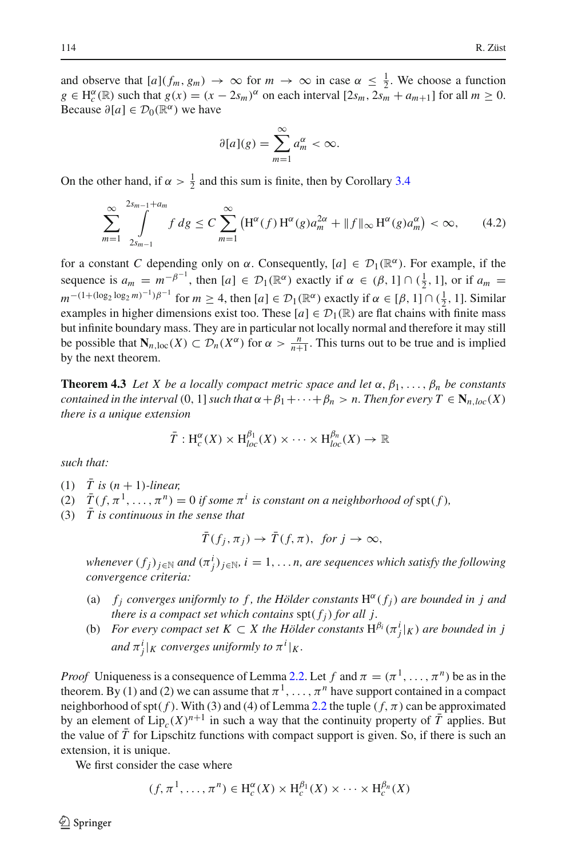and observe that  $[a](f_m, g_m) \to \infty$  for  $m \to \infty$  in case  $\alpha \leq \frac{1}{2}$ . We choose a function  $g \in H_c^{\alpha}(\mathbb{R})$  such that  $g(x) = (x - 2s_m)^{\alpha}$  on each interval  $[2s_m, 2s_m + a_{m+1}]$  for all  $m \ge 0$ . Because  $\partial[a] \in \mathcal{D}_0(\mathbb{R}^{\alpha})$  we have

$$
\partial[a](g) = \sum_{m=1}^{\infty} a_m^{\alpha} < \infty.
$$

<span id="page-16-0"></span>On the other hand, if  $\alpha > \frac{1}{2}$  and this sum is finite, then by Corollary [3.4](#page-11-1)

$$
\sum_{m=1}^{\infty} \int_{2s_{m-1}}^{2s_{m-1}+a_m} f \, dg \le C \sum_{m=1}^{\infty} \left( \mathcal{H}^{\alpha}(f) \, \mathcal{H}^{\alpha}(g) a_m^{2\alpha} + \| f \|_{\infty} \, \mathcal{H}^{\alpha}(g) a_m^{\alpha} \right) < \infty, \tag{4.2}
$$

for a constant *C* depending only on  $\alpha$ . Consequently,  $[a] \in \mathcal{D}_1(\mathbb{R}^{\alpha})$ . For example, if the sequence is  $a_m = m^{-\beta^{-1}}$ , then  $[a] \in \mathcal{D}_1(\mathbb{R}^{\alpha})$  exactly if  $\alpha \in (\beta, 1] \cap (\frac{1}{2}, 1]$ , or if  $a_m =$  $m^{-(1+(\log_2 \log_2 m)^{-1})\beta^{-1}}$  for  $m \ge 4$ , then  $[a] \in \mathcal{D}_1(\mathbb{R}^{\alpha})$  exactly if  $\alpha \in [\beta, 1] \cap (\frac{1}{2}, 1]$ . Similar examples in higher dimensions exist too. These  $[a] \in \mathcal{D}_1(\mathbb{R})$  are flat chains with finite mass but infinite boundary mass. They are in particular not locally normal and therefore it may still be possible that  $\mathbf{N}_{n,\text{loc}}(X) \subset \mathcal{D}_n(X^\alpha)$  for  $\alpha > \frac{n}{n+1}$ . This turns out to be true and is implied by the next theorem.

<span id="page-16-1"></span>**Theorem 4.3** *Let X be a locally compact metric space and let*  $\alpha$ ,  $\beta_1$ , ...,  $\beta_n$  *be constants contained in the interval* (0, 1] *such that*  $\alpha + \beta_1 + \cdots + \beta_n > n$ . Then for every  $T \in N_{n, loc}(X)$ *there is a unique extension*

$$
\overline{T}: \mathrm{H}^{\alpha}_{c}(X) \times \mathrm{H}^{\beta_1}_{loc}(X) \times \cdots \times \mathrm{H}^{\beta_n}_{loc}(X) \to \mathbb{R}
$$

*such that:*

- $(1)$   $\bar{T}$  is  $(n + 1)$ *-linear*,
- (2)  $\bar{T}(f, \pi^1, \ldots, \pi^n) = 0$  *if some*  $\pi^i$  *is constant on a neighborhood of spt(f),*
- $(3)$   $\bar{T}$  is continuous in the sense that

$$
\bar{T}(f_j, \pi_j) \to \bar{T}(f, \pi), \text{ for } j \to \infty,
$$

*whenever*  $(f_j)_{j\in\mathbb{N}}$  and  $(\pi_j^i)_{j\in\mathbb{N}}$ ,  $i=1,\ldots n$ , are sequences which satisfy the following *convergence criteria:*

- (a)  $f_j$  *converges uniformly to f, the Hölder constants*  $H^{\alpha}(f_j)$  *are bounded in j and there is a compact set which contains*  $\text{spt}(f_i)$  *for all j.*
- (b) *For every compact set*  $K \subset X$  the Hölder constants  $H^{\beta_i}(\pi_j^i|_K)$  are bounded in j *and*  $\pi_j^i|_K$  *converges uniformly to*  $\pi^i|_K$ *.*

*Proof* Uniqueness is a consequence of Lemma [2.2.](#page-3-0) Let f and  $\pi = (\pi^1, \dots, \pi^n)$  be as in the theorem. By (1) and (2) we can assume that  $\pi^1, \ldots, \pi^n$  have support contained in a compact neighborhood of spt( $f$ ). With (3) and (4) of Lemma [2.2](#page-3-0) the tuple ( $f, \pi$ ) can be approximated by an element of  $Lip_c(X)^{n+1}$  in such a way that the continuity property of  $\overline{T}$  applies. But the value of *T* for Lipschitz functions with compact support is given. So, if there is such an extension, it is unique.

We first consider the case where

$$
(f, \pi^1, \dots, \pi^n) \in \mathrm{H}_c^{\alpha}(X) \times \mathrm{H}_c^{\beta_1}(X) \times \dots \times \mathrm{H}_c^{\beta_n}(X)
$$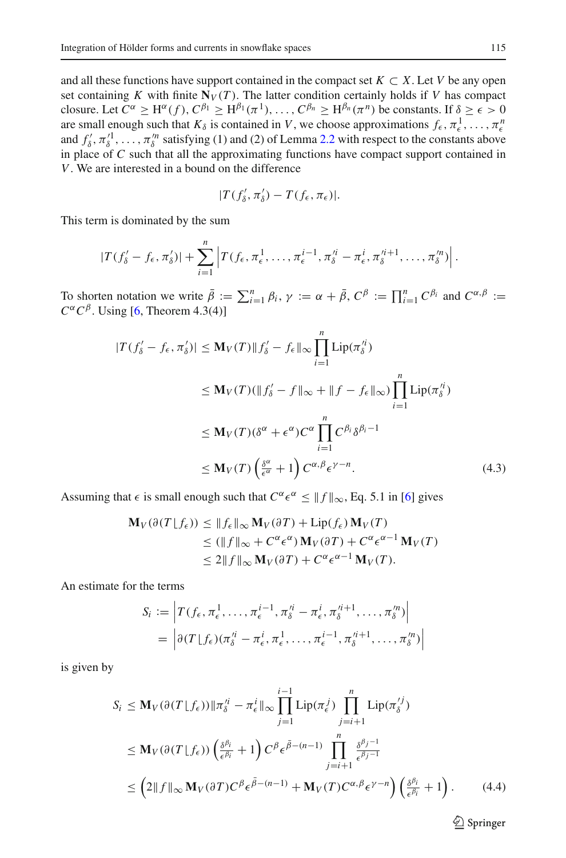and all these functions have support contained in the compact set  $K \subset X$ . Let *V* be any open set containing *K* with finite  $N_V(T)$ . The latter condition certainly holds if *V* has compact closure. Let  $C^{\alpha} \ge H^{\alpha}(f), C^{\beta_1} \ge H^{\beta_1}(\pi^1), \ldots, C^{\beta_n} \ge H^{\beta_n}(\pi^n)$  be constants. If  $\delta \ge \epsilon > 0$ are small enough such that  $K_\delta$  is contained in *V*, we choose approximations  $f_\epsilon, \pi_\epsilon^1, \ldots, \pi_\epsilon^n$ and  $f'_\delta, \pi'^1_\delta, \ldots, \pi'^n_\delta$  satisfying (1) and (2) of Lemma [2.2](#page-3-0) with respect to the constants above in place of *C* such that all the approximating functions have compact support contained in *V*. We are interested in a bound on the difference

$$
|T(f'_{\delta}, \pi'_{\delta}) - T(f_{\epsilon}, \pi_{\epsilon})|.
$$

This term is dominated by the sum

$$
|T(f'_{\delta}-f_{\epsilon},\pi'_{\delta})|+\sum_{i=1}^n\left|T(f_{\epsilon},\pi_{\epsilon}^1,\ldots,\pi_{\epsilon}^{i-1},\pi_{\delta}^{\prime i}-\pi_{\epsilon}^i,\pi_{\delta}^{\prime i+1},\ldots,\pi_{\delta}^{\prime n})\right|.
$$

<span id="page-17-0"></span>To shorten notation we write  $\bar{\beta} := \sum_{i=1}^n \beta_i$ ,  $\gamma := \alpha + \bar{\beta}$ ,  $C^{\beta} := \prod_{i=1}^n C^{\beta_i}$  and  $C^{\alpha, \beta} :=$  $C^{\alpha} C^{\beta}$ . Using [\[6,](#page-26-3) Theorem 4.3(4)]

$$
|T(f'_{\delta} - f_{\epsilon}, \pi'_{\delta})| \leq \mathbf{M}_{V}(T) \|f'_{\delta} - f_{\epsilon}\|_{\infty} \prod_{i=1}^{n} \text{Lip}(\pi_{\delta}^{i_{i}})
$$
  
\n
$$
\leq \mathbf{M}_{V}(T)(\|f'_{\delta} - f\|_{\infty} + \|f - f_{\epsilon}\|_{\infty}) \prod_{i=1}^{n} \text{Lip}(\pi_{\delta}^{i_{i}})
$$
  
\n
$$
\leq \mathbf{M}_{V}(T)(\delta^{\alpha} + \epsilon^{\alpha})C^{\alpha} \prod_{i=1}^{n} C^{\beta_{i}} \delta^{\beta_{i}-1}
$$
  
\n
$$
\leq \mathbf{M}_{V}(T) \left(\frac{\delta^{\alpha}}{\epsilon^{\alpha}} + 1\right) C^{\alpha, \beta} \epsilon^{\gamma - n}.
$$
 (4.3)

Assuming that  $\epsilon$  is small enough such that  $C^{\alpha} \epsilon^{\alpha} \le ||f||_{\infty}$ , Eq. 5.1 in [\[6](#page-26-3)] gives

$$
\mathbf{M}_{V}(\partial(T \lfloor f_{\epsilon})) \leq \|f_{\epsilon}\|_{\infty} \mathbf{M}_{V}(\partial T) + \text{Lip}(f_{\epsilon}) \mathbf{M}_{V}(T)
$$
  
\n
$$
\leq (\|f\|_{\infty} + C^{\alpha} \epsilon^{\alpha}) \mathbf{M}_{V}(\partial T) + C^{\alpha} \epsilon^{\alpha-1} \mathbf{M}_{V}(T)
$$
  
\n
$$
\leq 2 \|f\|_{\infty} \mathbf{M}_{V}(\partial T) + C^{\alpha} \epsilon^{\alpha-1} \mathbf{M}_{V}(T).
$$

An estimate for the terms

$$
S_i := \left| T(f_{\epsilon}, \pi_{\epsilon}^1, \dots, \pi_{\epsilon}^{i-1}, \pi_{\delta}^{\prime i} - \pi_{\epsilon}^i, \pi_{\delta}^{\prime i+1}, \dots, \pi_{\delta}^{\prime n}) \right|
$$
  
= 
$$
\left| \partial (T \lfloor f_{\epsilon}) (\pi_{\delta}^{\prime i} - \pi_{\epsilon}^i, \pi_{\epsilon}^1, \dots, \pi_{\epsilon}^{i-1}, \pi_{\delta}^{\prime i+1}, \dots, \pi_{\delta}^{\prime n}) \right|
$$

<span id="page-17-1"></span>is given by

$$
S_i \le \mathbf{M}_V(\partial(T \lfloor f_\epsilon)) \|\pi_\delta'^i - \pi_\epsilon^i\|_\infty \prod_{j=1}^{i-1} \mathrm{Lip}(\pi_\epsilon^j) \prod_{j=i+1}^n \mathrm{Lip}(\pi_\delta'^j)
$$
  
\n
$$
\le \mathbf{M}_V(\partial(T \lfloor f_\epsilon)) \left(\frac{\delta^{\beta_i}}{\epsilon^{\beta_i}} + 1\right) C^\beta \epsilon^{\bar{\beta}-(n-1)} \prod_{j=i+1}^n \frac{\delta^{\beta_j - 1}}{\epsilon^{\beta_j - 1}}
$$
  
\n
$$
\le \left(2 \|f\|_\infty \mathbf{M}_V(\partial T) C^\beta \epsilon^{\bar{\beta}-(n-1)} + \mathbf{M}_V(T) C^{\alpha, \beta} \epsilon^{\gamma - n} \right) \left(\frac{\delta^{\beta_i}}{\epsilon^{\beta_i}} + 1\right). \tag{4.4}
$$

 $\hat{\mathfrak{D}}$  Springer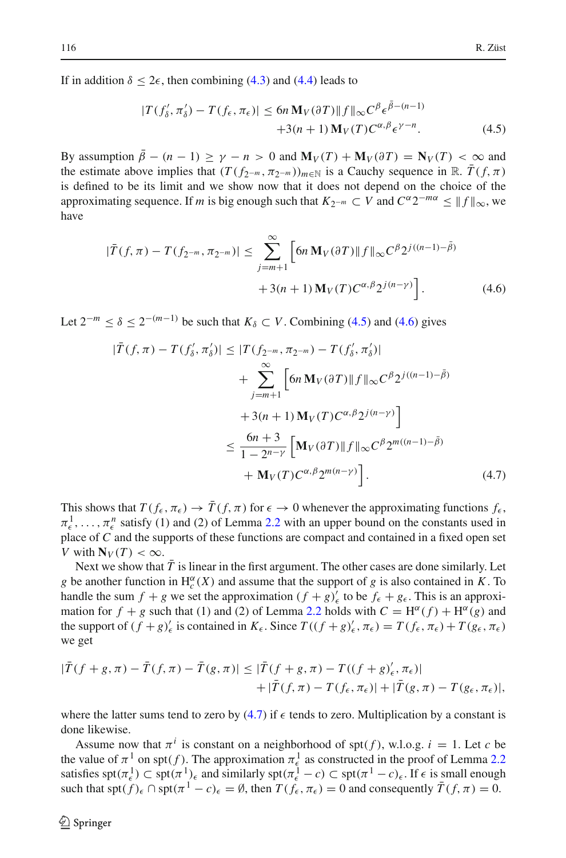<span id="page-18-0"></span>If in addition  $\delta \leq 2\epsilon$ , then combining [\(4.3\)](#page-17-0) and [\(4.4\)](#page-17-1) leads to

$$
|T(f'_{\delta}, \pi'_{\delta}) - T(f_{\epsilon}, \pi_{\epsilon})| \le 6n \mathbf{M}_V(\partial T) ||f||_{\infty} C^{\beta} \epsilon^{\tilde{\beta} - (n-1)} + 3(n+1) \mathbf{M}_V(T) C^{\alpha, \beta} \epsilon^{\gamma - n}.
$$
 (4.5)

By assumption  $\bar{\beta} - (n-1) > \gamma - n > 0$  and  $\mathbf{M}_V(T) + \mathbf{M}_V(\partial T) = \mathbf{N}_V(T) < \infty$  and the estimate above implies that  $(T(f_{2^{-m}}, \pi_{2^{-m}}))_{m \in \mathbb{N}}$  is a Cauchy sequence in R.  $\bar{T}(f, \pi)$ is defined to be its limit and we show now that it does not depend on the choice of the approximating sequence. If *m* is big enough such that  $K_{2^{-m}} \subset V$  and  $C^{\alpha}2^{-m\alpha} \le ||f||_{\infty}$ , we have

$$
|\bar{T}(f,\pi) - T(f_{2^{-m}}, \pi_{2^{-m}})| \leq \sum_{j=m+1}^{\infty} \left[ 6n \mathbf{M}_V(\partial T) \| f \|_{\infty} C^{\beta} 2^{j((n-1) - \bar{\beta})} + 3(n+1) \mathbf{M}_V(T) C^{\alpha, \beta} 2^{j(n-\gamma)} \right].
$$
 (4.6)

<span id="page-18-2"></span><span id="page-18-1"></span>Let  $2^{-m}$  ≤  $\delta$  ≤  $2^{-(m-1)}$  be such that  $K_{\delta}$  ⊂ *V*. Combining [\(4.5\)](#page-18-0) and [\(4.6\)](#page-18-1) gives

$$
|\bar{T}(f,\pi) - T(f'_{\delta},\pi'_{\delta})| \leq |T(f_{2^{-m}},\pi_{2^{-m}}) - T(f'_{\delta},\pi'_{\delta})|
$$
  
+ 
$$
\sum_{j=m+1}^{\infty} \left[ 6n \mathbf{M}_{V}(\partial T) ||f||_{\infty} C^{\beta} 2^{j((n-1)-\tilde{\beta})}
$$
  
+ 
$$
3(n+1) \mathbf{M}_{V}(T) C^{\alpha,\beta} 2^{j(n-\gamma)} \right]
$$
  

$$
\leq \frac{6n+3}{1-2^{n-\gamma}} \left[ \mathbf{M}_{V}(\partial T) ||f||_{\infty} C^{\beta} 2^{m((n-1)-\tilde{\beta})} + \mathbf{M}_{V}(T) C^{\alpha,\beta} 2^{m(n-\gamma)} \right].
$$
 (4.7)

This shows that  $T(f_{\epsilon}, \pi_{\epsilon}) \to \bar{T}(f, \pi)$  for  $\epsilon \to 0$  whenever the approximating functions  $f_{\epsilon}$ ,  $\pi_{\epsilon}^1, \ldots, \pi_{\epsilon}^n$  satisfy (1) and (2) of Lemma [2.2](#page-3-0) with an upper bound on the constants used in place of *C* and the supports of these functions are compact and contained in a fixed open set *V* with  $N_V(T) < \infty$ .

Next we show that  $\overline{T}$  is linear in the first argument. The other cases are done similarly. Let *g* be another function in  $H_c^{\alpha}(X)$  and assume that the support of *g* is also contained in *K*. To handle the sum  $f + g$  we set the approximation  $(f + g)'_{\epsilon}$  to be  $f_{\epsilon} + g_{\epsilon}$ . This is an approximation for  $f + g$  such that (1) and (2) of Lemma [2.2](#page-3-0) holds with  $C = H^{\alpha}(f) + H^{\alpha}(g)$  and the support of  $(f+g)'_{\epsilon}$  is contained in  $K_{\epsilon}$ . Since  $T((f+g)'_{\epsilon}, \pi_{\epsilon}) = T(f_{\epsilon}, \pi_{\epsilon}) + T(g_{\epsilon}, \pi_{\epsilon})$ we get

$$
\begin{aligned} |\bar{T}(f+g,\pi)-\bar{T}(f,\pi)-\bar{T}(g,\pi)| &\leq |\bar{T}(f+g,\pi)-T((f+g)'_{\epsilon},\pi_{\epsilon})| \\ &+|\bar{T}(f,\pi)-T(f_{\epsilon},\pi_{\epsilon})|+|\bar{T}(g,\pi)-T(g_{\epsilon},\pi_{\epsilon})|, \end{aligned}
$$

where the latter sums tend to zero by  $(4.7)$  if  $\epsilon$  tends to zero. Multiplication by a constant is done likewise.

Assume now that  $\pi^{i}$  is constant on a neighborhood of spt(f), w.l.o.g.  $i = 1$ . Let c be the value of  $\pi^1$  on spt(f). The approximation  $\pi^1_{\epsilon}$  as constructed in the proof of Lemma [2.2](#page-3-0) satisfies  $\text{spt}(\pi_{\epsilon}^1) \subset \text{spt}(\pi^1)_{\epsilon}$  and similarly  $\text{spt}(\pi_{\epsilon}^1 - c) \subset \text{spt}(\pi^1 - c)_{\epsilon}$ . If  $\epsilon$  is small enough such that  $\operatorname{spt}(f)_{\epsilon} \cap \operatorname{spt}(\pi^1 - c)_{\epsilon} = \emptyset$ , then  $T(f_{\epsilon}, \pi_{\epsilon}) = 0$  and consequently  $\overline{T}(f, \pi) = 0$ .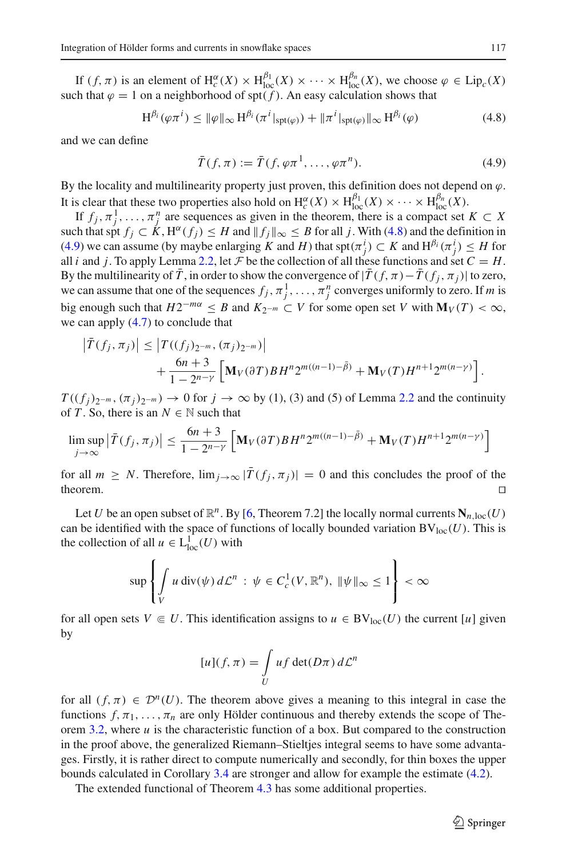If  $(f, \pi)$  is an element of  $H_c^{\alpha}(X) \times H_{loc}^{\beta_1}(X) \times \cdots \times H_{loc}^{\beta_n}(X)$ , we choose  $\varphi \in \text{Lip}_c(X)$ such that  $\varphi = 1$  on a neighborhood of spt( $f$ ). An easy calculation shows that

$$
H^{\beta_i}(\varphi \pi^i) \le \|\varphi\|_{\infty} H^{\beta_i}(\pi^i|_{\text{spt}(\varphi)}) + \|\pi^i|_{\text{spt}(\varphi)}\|_{\infty} H^{\beta_i}(\varphi)
$$
(4.8)

<span id="page-19-1"></span><span id="page-19-0"></span>and we can define

$$
\bar{T}(f,\pi) := \bar{T}(f,\varphi\pi^1,\ldots,\varphi\pi^n). \tag{4.9}
$$

By the locality and multilinearity property just proven, this definition does not depend on  $\varphi$ . It is clear that these two properties also hold on  $H_c^{\alpha}(X) \times H_{loc}^{\beta_1}(X) \times \cdots \times H_{loc}^{\beta_n}(X)$ .

If  $f_j, \pi_j^1, \ldots, \pi_j^n$  are sequences as given in the theorem, there is a compact set  $K \subset X$ such that spt  $f_i \subset K$ ,  $H^{\alpha}(f_i) \leq H$  and  $||f_i||_{\infty} \leq B$  for all *j*. With [\(4.8\)](#page-19-0) and the definition in [\(4.9\)](#page-19-1) we can assume (by maybe enlarging *K* and *H*) that spt $(\pi_j^i) \subset K$  and  $H^{\beta_i}(\pi_j^i) \leq H$  for all *i* and *j*. To apply Lemma [2.2,](#page-3-0) let  $\mathcal F$  be the collection of all these functions and set  $C = H$ . By the multilinearity of  $\bar{T}$ , in order to show the convergence of  $|\bar{T}(f,\pi)-\bar{T}(f_j,\pi_j)|$  to zero, we can assume that one of the sequences  $f_j$ ,  $\pi_j^1$ , ...,  $\pi_j^n$  converges uniformly to zero. If *m* is big enough such that  $H2^{-m\alpha} \leq B$  and  $K_{2^{-m}} \subset V$  for some open set *V* with  $\mathbf{M}_V(T) < \infty$ , we can apply [\(4.7\)](#page-18-2) to conclude that

$$
\left| \bar{T}(f_j, \pi_j) \right| \leq \left| T((f_j)_{2^{-m}}, (\pi_j)_{2^{-m}}) \right| + \frac{6n+3}{1-2^{n-\gamma}} \left[ \mathbf{M}_V(\partial T) B H^n 2^{m((n-1)-\tilde{\beta})} + \mathbf{M}_V(T) H^{n+1} 2^{m(n-\gamma)} \right].
$$

 $T((f_i)_{2^{-m}}, (\pi_i)_{2^{-m}}) \rightarrow 0$  for  $j \rightarrow \infty$  by (1), (3) and (5) of Lemma [2.2](#page-3-0) and the continuity of *T*. So, there is an  $N \in \mathbb{N}$  such that

$$
\limsup_{j \to \infty} \left| \bar{T}(f_j, \pi_j) \right| \leq \frac{6n+3}{1 - 2^{n-\gamma}} \left[ \mathbf{M}_V(\partial T) B H^n 2^{m((n-1) - \bar{\beta})} + \mathbf{M}_V(T) H^{n+1} 2^{m(n-\gamma)} \right]
$$

for all  $m \geq N$ . Therefore,  $\lim_{j\to\infty} |\overline{T}(f_j, \pi_j)| = 0$  and this concludes the proof of the theorem.

Let *U* be an open subset of  $\mathbb{R}^n$ . By [\[6](#page-26-3), Theorem 7.2] the locally normal currents  $N_{n,loc}(U)$ can be identified with the space of functions of locally bounded variation  $BV_{loc}(U)$ . This is the collection of all  $u \in L^1_{loc}(U)$  with

$$
\sup\left\{\int\limits_V u \, \text{div}(\psi) \, d\mathcal{L}^n \, : \, \psi \in C_c^1(V, \mathbb{R}^n), \, \|\psi\|_{\infty} \le 1\right\} < \infty
$$

for all open sets  $V \in U$ . This identification assigns to  $u \in BV_{loc}(U)$  the current [*u*] given by

$$
[u](f,\pi) = \int\limits_U u f \det(D\pi) \, d\mathcal{L}^n
$$

for all  $(f, \pi) \in \mathcal{D}^n(U)$ . The theorem above gives a meaning to this integral in case the functions  $f, \pi_1, \ldots, \pi_n$  are only Hölder continuous and thereby extends the scope of The-orem [3.2,](#page-5-0) where  $u$  is the characteristic function of a box. But compared to the construction in the proof above, the generalized Riemann–Stieltjes integral seems to have some advantages. Firstly, it is rather direct to compute numerically and secondly, for thin boxes the upper bounds calculated in Corollary [3.4](#page-11-1) are stronger and allow for example the estimate [\(4.2\)](#page-16-0).

The extended functional of Theorem [4.3](#page-16-1) has some additional properties.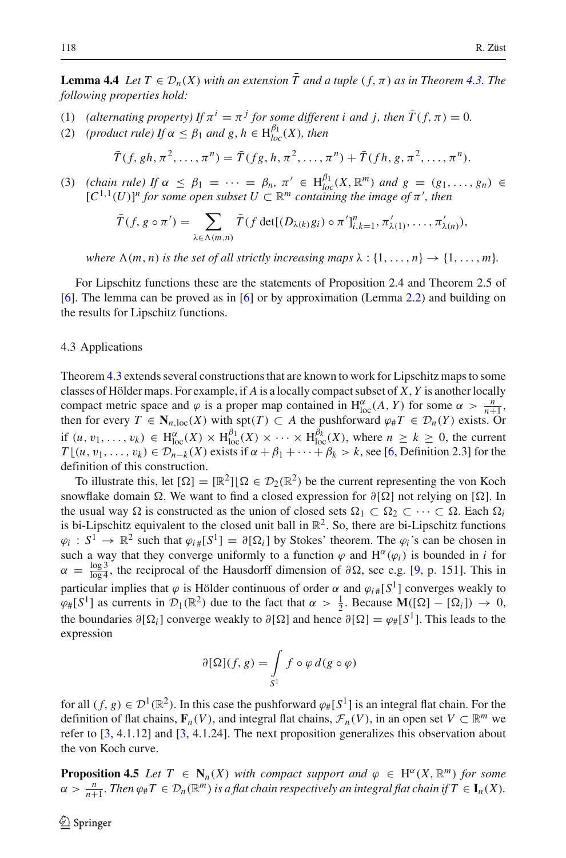**Lemma 4.4** *Let*  $T \in \mathcal{D}_n(X)$  *with an extension*  $\overline{T}$  *and a tuple*  $(f, \pi)$  *as in Theorem* [4.3.](#page-16-1) *The following properties hold:*

- (1) *(alternating property) If*  $\pi^{i} = \pi^{j}$  *for some different i and j, then*  $\bar{T}(f, \pi) = 0$ *.*
- (2) *(product rule)* If  $\alpha \leq \beta_1$  *and*  $g, h \in H_{loc}^{\beta_1}(X)$ *, then*

$$
\bar{T}(f, gh, \pi^2, \dots, \pi^n) = \bar{T}(fg, h, \pi^2, \dots, \pi^n) + \bar{T}(fh, g, \pi^2, \dots, \pi^n).
$$

(3) *(chain rule)* If  $\alpha \leq \beta_1 = \cdots = \beta_n$ ,  $\pi' \in H_{loc}^{\beta_1}(X, \mathbb{R}^m)$  and  $g = (g_1, \ldots, g_n) \in$  $[C^{1,1}(U)]^n$  for some open subset  $U \subset \mathbb{R}^m$  containing the image of  $\pi'$ , then

$$
\overline{T}(f,g\circ\pi')=\sum_{\lambda\in\Lambda(m,n)}\overline{T}(f\det[(D_{\lambda(k)}g_i)\circ\pi']_{i,k=1}^n,\pi'_{\lambda(1)},\ldots,\pi'_{\lambda(n)}),
$$

*where*  $\Lambda(m, n)$  *is the set of all strictly increasing maps*  $\lambda : \{1, \ldots, n\} \rightarrow \{1, \ldots, m\}$ .

For Lipschitz functions these are the statements of Proposition 2.4 and Theorem 2.5 of [\[6](#page-26-3)]. The lemma can be proved as in [\[6](#page-26-3)] or by approximation (Lemma [2.2\)](#page-3-0) and building on the results for Lipschitz functions.

# 4.3 Applications

Theorem [4.3](#page-16-1) extends several constructions that are known to work for Lipschitz maps to some classes of Hölder maps. For example, if *A* is a locally compact subset of *X*, *Y* is another locally compact metric space and  $\varphi$  is a proper map contained in H<sub>loc</sub>(*A*, *Y*) for some  $\alpha > \frac{n}{n+1}$ , then for every  $T \in \mathbb{N}_{n,\text{loc}}(X)$  with  $\text{spt}(T) \subset A$  the pushforward  $\varphi \# T \in \mathcal{D}_n(Y)$  exists. Or if  $(u, v_1, \ldots, v_k) \in H_{loc}^{\alpha}(X) \times H_{loc}^{\beta_1}(X) \times \cdots \times H_{loc}^{\beta_k}(X)$ , where  $n \geq k \geq 0$ , the current  $T\lfloor (u, v_1, \ldots, v_k) \in \mathcal{D}_{n-k}(X)$  exists if  $\alpha + \beta_1 + \cdots + \beta_k > k$ , see [\[6](#page-26-3), Definition 2.3] for the definition of this construction.

To illustrate this, let  $[\Omega]=[\mathbb{R}^2] | \Omega \in \mathcal{D}_2(\mathbb{R}^2)$  be the current representing the von Koch snowflake domain  $\Omega$ . We want to find a closed expression for  $\partial[\Omega]$  not relying on [ $\Omega$ ]. In the usual way  $\Omega$  is constructed as the union of closed sets  $\Omega_1 \subset \Omega_2 \subset \cdots \subset \Omega$ . Each  $\Omega_i$ is bi-Lipschitz equivalent to the closed unit ball in  $\mathbb{R}^2$ . So, there are bi-Lipschitz functions  $\varphi_i : S^1 \to \mathbb{R}^2$  such that  $\varphi_i \sharp [S^1] = \partial [\Omega_i]$  by Stokes' theorem. The  $\varphi_i$ 's can be chosen in such a way that they converge uniformly to a function  $\varphi$  and  $H^{\alpha}(\varphi_i)$  is bounded in *i* for  $\alpha = \frac{\log 3}{\log 4}$ , the reciprocal of the Hausdorff dimension of  $\partial \Omega$ , see e.g. [\[9,](#page-26-7) p. 151]. This in particular implies that  $\varphi$  is Hölder continuous of order  $\alpha$  and  $\varphi_{i\#}[S^1]$  converges weakly to  $\varphi_{\#}[S^1]$  as currents in  $\mathcal{D}_1(\mathbb{R}^2)$  due to the fact that  $\alpha > \frac{1}{2}$ . Because  $\mathbf{M}([S^1] - [\Omega_i]) \to 0$ , the boundaries  $\partial[\Omega_i]$  converge weakly to  $\partial[\Omega]$  and hence  $\partial[\Omega] = \varphi_{\#}[S^1]$ . This leads to the expression

$$
\partial[\Omega](f,g) = \int\limits_{S^1} f \circ \varphi \, d(g \circ \varphi)
$$

for all  $(f, g) \in \mathcal{D}^1(\mathbb{R}^2)$ . In this case the pushforward  $\varphi_{\#}[S^1]$  is an integral flat chain. For the definition of flat chains,  $\mathbf{F}_n(V)$ , and integral flat chains,  $\mathcal{F}_n(V)$ , in an open set  $V \subset \mathbb{R}^m$  we refer to [\[3,](#page-26-6) 4.1.12] and [\[3,](#page-26-6) 4.1.24]. The next proposition generalizes this observation about the von Koch curve.

**Proposition 4.5** *Let*  $T \in \mathbb{N}_n(X)$  *with compact support and*  $\varphi \in \mathrm{H}^{\alpha}(X, \mathbb{R}^m)$  *for some*  $\alpha > \frac{n}{n+1}$ . Then  $\varphi \# T \in \mathcal{D}_n(\mathbb{R}^m)$  is a flat chain respectively an integral flat chain if  $T \in I_n(X)$ .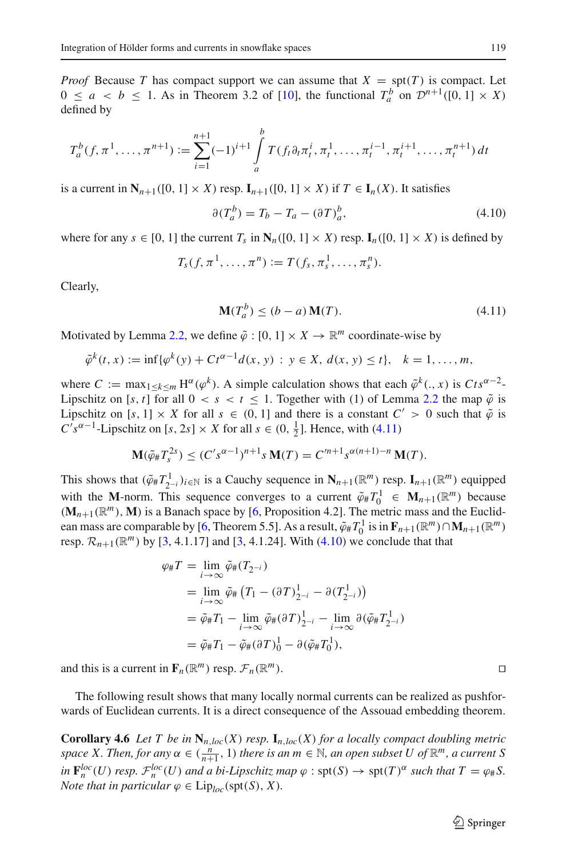*Proof* Because *T* has compact support we can assume that  $X = \text{spt}(T)$  is compact. Let  $0 \le a < b \le 1$ . As in Theorem 3.2 of [\[10](#page-26-8)], the functional  $T_a^b$  on  $\mathcal{D}^{n+1}([0, 1] \times X)$ defined by

$$
T_a^b(f, \pi^1, \dots, \pi^{n+1}) := \sum_{i=1}^{n+1} (-1)^{i+1} \int_a^b T(f_t \partial_t \pi_t^i, \pi_t^1, \dots, \pi_t^{i-1}, \pi_t^{i+1}, \dots, \pi_t^{n+1}) dt
$$

<span id="page-21-1"></span>is a current in  $N_{n+1}([0, 1] \times X)$  resp.  $I_{n+1}([0, 1] \times X)$  if  $T \in I_n(X)$ . It satisfies

$$
\partial (T_a^b) = T_b - T_a - (\partial T)_a^b,\tag{4.10}
$$

where for any  $s \in [0, 1]$  the current  $T_s$  in  $\mathbb{N}_n([0, 1] \times X)$  resp.  $\mathbb{I}_n([0, 1] \times X)$  is defined by

$$
T_s(f,\pi^1,\ldots,\pi^n):=T(f_s,\pi^1_s,\ldots,\pi^n_s).
$$

Clearly,

$$
\mathbf{M}(T_a^b) \le (b - a)\mathbf{M}(T). \tag{4.11}
$$

Motivated by Lemma [2.2,](#page-3-0) we define  $\tilde{\varphi} : [0, 1] \times X \to \mathbb{R}^m$  coordinate-wise by

<span id="page-21-0"></span>
$$
\tilde{\varphi}^k(t,x) := \inf \{ \varphi^k(y) + C t^{\alpha - 1} d(x,y) : y \in X, d(x,y) \le t \}, \quad k = 1, \dots, m,
$$

where  $C := \max_{1 \le k \le m} H^{\alpha}(\varphi^{k})$ . A simple calculation shows that each  $\tilde{\varphi}^{k}(., x)$  is  $Cts^{\alpha-2}$ -Lipschitz on [s, t] for all  $0 < s < t \le 1$ . Together with (1) of Lemma [2.2](#page-3-0) the map  $\tilde{\varphi}$  is Lipschitz on  $[s, 1] \times X$  for all  $s \in (0, 1]$  and there is a constant  $C' > 0$  such that  $\tilde{\varphi}$  is  $C's^{\alpha-1}$ -Lipschitz on [*s*, 2*s*] × *X* for all *s* ∈ (0,  $\frac{1}{2}$ ]. Hence, with [\(4.11\)](#page-21-0)

$$
\mathbf{M}(\tilde{\varphi}_{\#}T_s^{2s}) \le (C's^{\alpha-1})^{n+1} s \mathbf{M}(T) = C'^{n+1} s^{\alpha(n+1)-n} \mathbf{M}(T).
$$

This shows that  $(\tilde{\varphi}_\# T^1_{2^{-i}})_{i \in \mathbb{N}}$  is a Cauchy sequence in  $\mathbf{N}_{n+1}(\mathbb{R}^m)$  resp.  $\mathbf{I}_{n+1}(\mathbb{R}^m)$  equipped with the **M**-norm. This sequence converges to a current  $\tilde{\varphi}_\# T_0^1 \in \mathbf{M}_{n+1}(\mathbb{R}^m)$  because  $(M_{n+1}(\mathbb{R}^m), M)$  is a Banach space by [\[6,](#page-26-3) Proposition 4.2]. The metric mass and the Euclid-ean mass are comparable by [\[6](#page-26-3), Theorem 5.5]. As a result,  $\tilde{\varphi}_\# T_0^1$  is in  $\mathbf{F}_{n+1}(\mathbb{R}^m) \cap \mathbf{M}_{n+1}(\mathbb{R}^m)$ resp.  $\mathcal{R}_{n+1}(\mathbb{R}^m)$  by [\[3,](#page-26-6) 4.1.17] and [3, 4.1.24]. With [\(4.10\)](#page-21-1) we conclude that that

$$
\varphi_{\#}T = \lim_{i \to \infty} \tilde{\varphi}_{\#}(T_{2^{-i}})
$$
  
\n
$$
= \lim_{i \to \infty} \tilde{\varphi}_{\#}(T_1 - (\partial T)^{1}_{2^{-i}} - \partial(T^{1}_{2^{-i}}))
$$
  
\n
$$
= \tilde{\varphi}_{\#}T_1 - \lim_{i \to \infty} \tilde{\varphi}_{\#}(\partial T)^{1}_{2^{-i}} - \lim_{i \to \infty} \partial(\tilde{\varphi}_{\#}T^{1}_{2^{-i}})
$$
  
\n
$$
= \tilde{\varphi}_{\#}T_1 - \tilde{\varphi}_{\#}(\partial T)^{1}_{0} - \partial(\tilde{\varphi}_{\#}T^{1}_{0}),
$$

and this is a current in  $\mathbf{F}_n(\mathbb{R}^m)$  resp.  $\mathcal{F}_n(\mathbb{R}^m)$ .

The following result shows that many locally normal currents can be realized as pushforwards of Euclidean currents. It is a direct consequence of the Assouad embedding theorem.

**Corollary 4.6** *Let T be in*  $\mathbb{N}_{n, loc}(X)$  *resp.*  $\mathbb{I}_{n, loc}(X)$  *for a locally compact doubling metric space X. Then, for any*  $\alpha \in (\frac{n}{n+1}, 1)$  *there is an*  $m \in \mathbb{N}$ *, an open subset U of*  $\mathbb{R}^m$ *, a current S*  $\int_{0}^{\infty} F_n^{loc}(U)$  *resp.*  $\mathcal{F}_n^{loc}(U)$  *and a bi-Lipschitz map*  $\varphi$  : spt(*S*)  $\to$  spt(*T*)<sup> $\alpha$ </sup> *such that*  $T = \varphi_{\#} S$ . *Note that in particular*  $\varphi \in \text{Lip}_{loc}(\text{spt}(S), X)$ *.*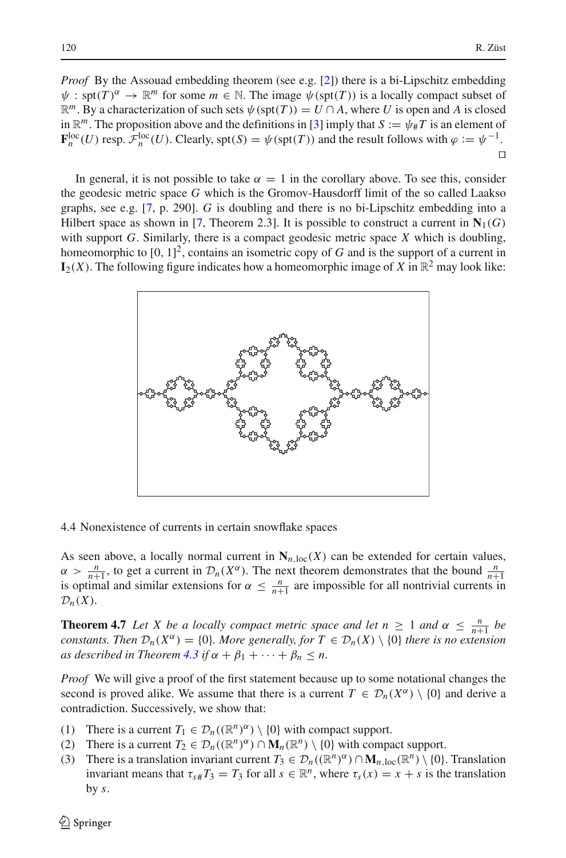*Proof* By the Assouad embedding theorem (see e.g. [\[2\]](#page-26-9)) there is a bi-Lipschitz embedding  $\psi$ : spt(*T*)<sup> $\alpha$ </sup>  $\rightarrow \mathbb{R}^m$  for some *m*  $\in \mathbb{N}$ . The image  $\psi$ (spt(*T*)) is a locally compact subset of  $\mathbb{R}^m$ . By a characterization of such sets  $\psi(\text{spt}(T)) = U \cap A$ , where *U* is open and *A* is closed in  $\mathbb{R}^m$ . The proposition above and the definitions in [\[3](#page-26-6)] imply that  $S := \psi_{\#}T$  is an element of  $\mathbf{F}_n^{\text{loc}}(U)$  resp.  $\mathcal{F}_n^{\text{loc}}(U)$ . Clearly, spt(*S*) =  $\psi(\text{spt}(T))$  and the result follows with  $\varphi := \psi^{-1}$ .  $\Box$ 

In general, it is not possible to take  $\alpha = 1$  in the corollary above. To see this, consider the geodesic metric space *G* which is the Gromov-Hausdorff limit of the so called Laakso graphs, see e.g. [\[7](#page-26-10), p. 290]. *G* is doubling and there is no bi-Lipschitz embedding into a Hilbert space as shown in [\[7](#page-26-10), Theorem 2.3]. It is possible to construct a current in  $N_1(G)$ with support *G*. Similarly, there is a compact geodesic metric space *X* which is doubling, homeomorphic to [0, 1] 2, contains an isometric copy of *G* and is the support of a current in  $I_2(X)$ . The following figure indicates how a homeomorphic image of X in  $\mathbb{R}^2$  may look like:



4.4 Nonexistence of currents in certain snowflake spaces

As seen above, a locally normal current in  $N_{n,loc}(X)$  can be extended for certain values,  $\alpha > \frac{n}{n+1}$ , to get a current in  $\mathcal{D}_n(X^{\alpha})$ . The next theorem demonstrates that the bound  $\frac{n}{n+1}$  is optimal and similar extensions for  $\alpha \leq \frac{n}{n+1}$  are impossible for all nontrivial currents in  $\mathcal{D}_n(X)$ .

**Theorem 4.7** *Let X be a locally compact metric space and let*  $n \geq 1$  *and*  $\alpha \leq \frac{n}{n+1}$  *be constants. Then*  $\mathcal{D}_n(X^{\alpha}) = \{0\}$ *. More generally, for*  $T \in \mathcal{D}_n(X) \setminus \{0\}$  *there is no extension as described in Theorem* [4.3](#page-16-1) *if*  $\alpha + \beta_1 + \cdots + \beta_n \leq n$ .

*Proof* We will give a proof of the first statement because up to some notational changes the second is proved alike. We assume that there is a current  $T \in \mathcal{D}_n(X^\alpha) \setminus \{0\}$  and derive a contradiction. Successively, we show that:

- (1) There is a current  $T_1 \in \mathcal{D}_n((\mathbb{R}^n)^{\alpha}) \setminus \{0\}$  with compact support.
- (2) There is a current  $T_2 \in \mathcal{D}_n((\mathbb{R}^n)^{\alpha}) \cap \mathbf{M}_n(\mathbb{R}^n) \setminus \{0\}$  with compact support.
- (3) There is a translation invariant current  $T_3 \in \mathcal{D}_n((\mathbb{R}^n)^{\alpha}) \cap \mathbf{M}_{n,\text{loc}}(\mathbb{R}^n) \setminus \{0\}$ . Translation invariant means that  $\tau_{s#}T_3 = T_3$  for all  $s \in \mathbb{R}^n$ , where  $\tau_s(x) = x + s$  is the translation by *s*.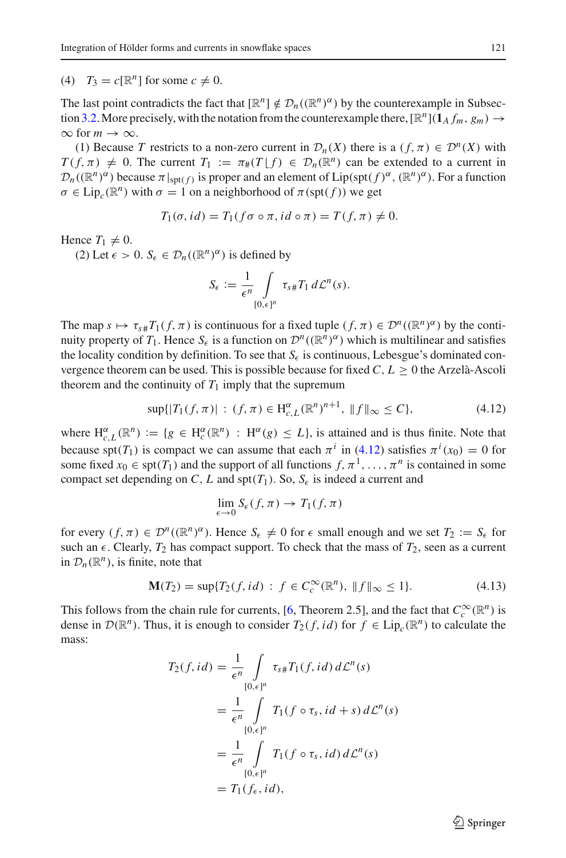(4)  $T_3 = c[\mathbb{R}^n]$  for some  $c \neq 0$ .

The last point contradicts the fact that  $[\mathbb{R}^n] \notin \mathcal{D}_n((\mathbb{R}^n)^{\alpha})$  by the counterexample in Subsec-tion [3.2.](#page-9-1) More precisely, with the notation from the counterexample there,  $[\mathbb{R}^n](1_A f_m, g_m) \rightarrow$  $\infty$  for  $m \to \infty$ .

(1) Because *T* restricts to a non-zero current in  $\mathcal{D}_n(X)$  there is a  $(f, \pi) \in \mathcal{D}^n(X)$  with  $T(f, \pi) \neq 0$ . The current  $T_1 := \pi_*(T \mid f) \in \mathcal{D}_n(\mathbb{R}^n)$  can be extended to a current in  $\mathcal{D}_n((\mathbb{R}^n)^\alpha)$  because  $\pi|_{\text{spt}(f)}$  is proper and an element of Lip(spt( $f)^\alpha$ ,  $(\mathbb{R}^n)^\alpha$ ). For a function  $\sigma \in \text{Lip}_{c}(\mathbb{R}^{n})$  with  $\sigma = 1$  on a neighborhood of  $\pi(\text{spt}(f))$  we get

$$
T_1(\sigma, id) = T_1(f\sigma \circ \pi, id \circ \pi) = T(f, \pi) \neq 0.
$$

Hence  $T_1 \neq 0$ .

(2) Let  $\epsilon > 0$ .  $S_{\epsilon} \in \mathcal{D}_n((\mathbb{R}^n)^{\alpha})$  is defined by

$$
S_{\epsilon} := \frac{1}{\epsilon^n} \int\limits_{[0,\epsilon]^n} \tau_{s\#} T_1 d\mathcal{L}^n(s).
$$

The map  $s \mapsto \tau_{s\#}T_1(f, \pi)$  is continuous for a fixed tuple  $(f, \pi) \in \mathcal{D}^n((\mathbb{R}^n)^{\alpha})$  by the continuity property of *T*<sub>1</sub>. Hence *S*<sub> $\epsilon$ </sub> is a function on  $\mathcal{D}^n((\mathbb{R}^n)^\alpha)$  which is multilinear and satisfies the locality condition by definition. To see that  $S_{\epsilon}$  is continuous, Lebesgue's dominated convergence theorem can be used. This is possible because for fixed  $C, L > 0$  the Arzelà-Ascoli theorem and the continuity of  $T_1$  imply that the supremum

$$
\sup\{|T_1(f,\pi)|\,:\,(f,\pi)\in\mathrm{H}_{c,L}^{\alpha}(\mathbb{R}^n)^{n+1},\,\|f\|_{\infty}\leq C\},\tag{4.12}
$$

<span id="page-23-0"></span>where  $H_{c,L}^{\alpha}(\mathbb{R}^n) := \{g \in H_c^{\alpha}(\mathbb{R}^n) : H^{\alpha}(g) \le L\}$ , is attained and is thus finite. Note that because spt(*T*<sub>1</sub>) is compact we can assume that each  $\pi^{i}$  in [\(4.12\)](#page-23-0) satisfies  $\pi^{i}(x_0) = 0$  for some fixed  $x_0 \in \text{spt}(T_1)$  and the support of all functions  $f, \pi^1, \ldots, \pi^n$  is contained in some compact set depending on *C*, *L* and spt( $T_1$ ). So,  $S_6$  is indeed a current and

$$
\lim_{\epsilon \to 0} S_{\epsilon}(f, \pi) \to T_1(f, \pi)
$$

for every  $(f, \pi) \in \mathcal{D}^n((\mathbb{R}^n)^{\alpha})$ . Hence  $S_{\epsilon} \neq 0$  for  $\epsilon$  small enough and we set  $T_2 := S_{\epsilon}$  for such an  $\epsilon$ . Clearly,  $T_2$  has compact support. To check that the mass of  $T_2$ , seen as a current in  $\mathcal{D}_n(\mathbb{R}^n)$ , is finite, note that

$$
\mathbf{M}(T_2) = \sup \{ T_2(f, id) : f \in C_c^{\infty}(\mathbb{R}^n), \| f \|_{\infty} \le 1 \}. \tag{4.13}
$$

<span id="page-23-1"></span>This follows from the chain rule for currents, [\[6,](#page-26-3) Theorem 2.5], and the fact that  $C_c^{\infty}(\mathbb{R}^n)$  is dense in  $\mathcal{D}(\mathbb{R}^n)$ . Thus, it is enough to consider  $T_2(f, id)$  for  $f \in Lip_c(\mathbb{R}^n)$  to calculate the mass:

$$
T_2(f, id) = \frac{1}{\epsilon^n} \int_{[0,\epsilon]^n} \tau_{s\#} T_1(f, id) d\mathcal{L}^n(s)
$$
  
= 
$$
\frac{1}{\epsilon^n} \int_{[0,\epsilon]^n} T_1(f \circ \tau_s, id + s) d\mathcal{L}^n(s)
$$
  
= 
$$
\frac{1}{\epsilon^n} \int_{[0,\epsilon]^n} T_1(f \circ \tau_s, id) d\mathcal{L}^n(s)
$$
  
= 
$$
T_1(f_{\epsilon}, id),
$$

 $\circled{2}$  Springer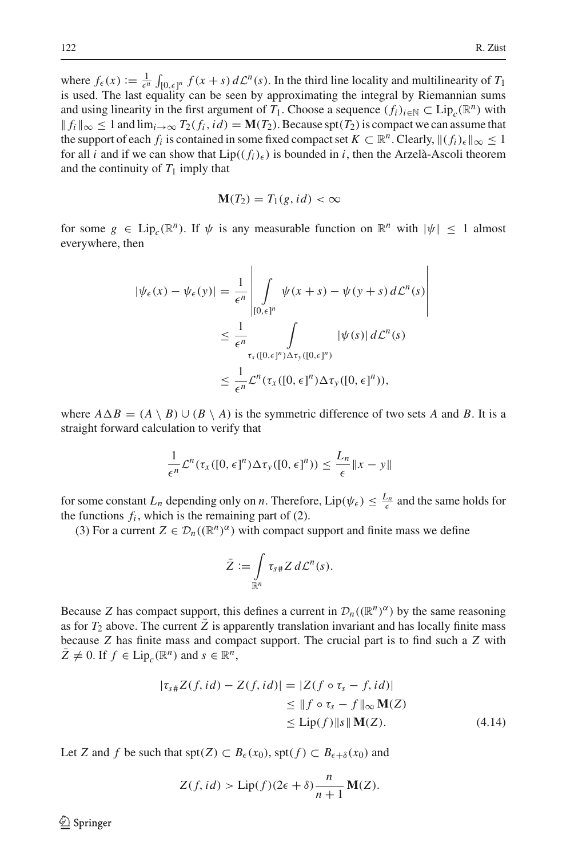where  $f_{\epsilon}(x) := \frac{1}{\epsilon^n} \int_{[0,\epsilon]^n} f(x+s) d\mathcal{L}^n(s)$ . In the third line locality and multilinearity of  $T_1$ is used. The last equality can be seen by approximating the integral by Riemannian sums and using linearity in the first argument of *T*<sub>1</sub>. Choose a sequence  $(f_i)_{i\in\mathbb{N}} \subset \text{Lip}_c(\mathbb{R}^n)$  with  $||f_i||_{\infty} \leq 1$  and  $\lim_{i \to \infty} T_2(f_i, id) = M(T_2)$ . Because spt $(T_2)$  is compact we can assume that the support of each  $f_i$  is contained in some fixed compact set  $K \subset \mathbb{R}^n$ . Clearly,  $\|(f_i)_{\epsilon}\|_{\infty} \leq 1$ for all *i* and if we can show that  $Lip((f_i)_{\epsilon})$  is bounded in *i*, then the Arzelà-Ascoli theorem and the continuity of  $T_1$  imply that

$$
\mathbf{M}(T_2) = T_1(g, id) < \infty
$$

for some  $g \in Lip_c(\mathbb{R}^n)$ . If  $\psi$  is any measurable function on  $\mathbb{R}^n$  with  $|\psi| < 1$  almost everywhere, then

$$
|\psi_{\epsilon}(x) - \psi_{\epsilon}(y)| = \frac{1}{\epsilon^{n}} \left| \int_{[0,\epsilon]^{n}} \psi(x+s) - \psi(y+s) d\mathcal{L}^{n}(s) \right|
$$
  

$$
\leq \frac{1}{\epsilon^{n}} \int_{\tau_{x}([0,\epsilon]^{n}) \Delta \tau_{y}([0,\epsilon]^{n})} |\psi(s)| d\mathcal{L}^{n}(s)
$$
  

$$
\leq \frac{1}{\epsilon^{n}} \mathcal{L}^{n}(\tau_{x}([0,\epsilon]^{n}) \Delta \tau_{y}([0,\epsilon]^{n})),
$$

where  $A \Delta B = (A \setminus B) \cup (B \setminus A)$  is the symmetric difference of two sets *A* and *B*. It is a straight forward calculation to verify that

$$
\frac{1}{\epsilon^n} \mathcal{L}^n(\tau_x([0,\epsilon]^n) \Delta \tau_y([0,\epsilon]^n)) \leq \frac{L_n}{\epsilon} ||x - y||
$$

for some constant  $L_n$  depending only on *n*. Therefore,  $Lip(\psi_\epsilon) \leq \frac{L_n}{\epsilon}$  and the same holds for the functions  $f_i$ , which is the remaining part of  $(2)$ .

(3) For a current  $Z \in \mathcal{D}_n((\mathbb{R}^n)^\alpha)$  with compact support and finite mass we define

$$
\bar{Z} := \int\limits_{\mathbb{R}^n} \tau_{s\#} Z \, d\mathcal{L}^n(s).
$$

Because *Z* has compact support, this defines a current in  $\mathcal{D}_n((\mathbb{R}^n)^{\alpha})$  by the same reasoning as for  $T_2$  above. The current  $\overline{Z}$  is apparently translation invariant and has locally finite mass because *Z* has finite mass and compact support. The crucial part is to find such a *Z* with  $Z \neq 0$ . If  $f \in Lip_c(\mathbb{R}^n)$  and  $s \in \mathbb{R}^n$ ,

$$
|\tau_{s\#}Z(f,id) - Z(f,id)| = |Z(f \circ \tau_s - f,id)|
$$
  
\n
$$
\leq ||f \circ \tau_s - f||_{\infty} \mathbf{M}(Z)
$$
  
\n
$$
\leq \text{Lip}(f) ||s|| \mathbf{M}(Z). \tag{4.14}
$$

<span id="page-24-0"></span>Let *Z* and *f* be such that  $\text{spt}(Z) \subset B_{\epsilon}(x_0)$ ,  $\text{spt}(f) \subset B_{\epsilon+\delta}(x_0)$  and

$$
Z(f, id) > \text{Lip}(f)(2\epsilon + \delta) \frac{n}{n+1} \mathbf{M}(Z).
$$

 $\circledcirc$  Springer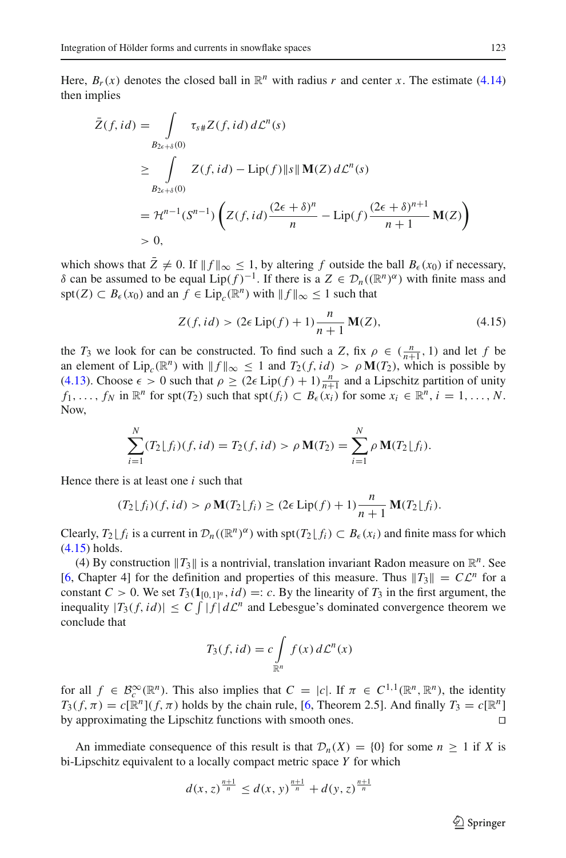Here,  $B_r(x)$  denotes the closed ball in  $\mathbb{R}^n$  with radius *r* and center *x*. The estimate [\(4.14\)](#page-24-0) then implies

$$
\bar{Z}(f, id) = \int_{B_{2\epsilon+\delta}(0)} \tau_{s\#} Z(f, id) d\mathcal{L}^{n}(s)
$$
\n
$$
\geq \int_{B_{2\epsilon+\delta}(0)} Z(f, id) - \text{Lip}(f) \|s\| \mathbf{M}(Z) d\mathcal{L}^{n}(s)
$$
\n
$$
= \mathcal{H}^{n-1}(S^{n-1}) \left( Z(f, id) \frac{(2\epsilon + \delta)^{n}}{n} - \text{Lip}(f) \frac{(2\epsilon + \delta)^{n+1}}{n+1} \mathbf{M}(Z) \right)
$$
\n
$$
> 0,
$$

which shows that  $\bar{Z} \neq 0$ . If  $||f||_{\infty} \leq 1$ , by altering *f* outside the ball  $B_{\epsilon}(x_0)$  if necessary, δ can be assumed to be equal Lip( $f$ )<sup>-1</sup>. If there is a *Z* ∈  $\mathcal{D}_n((\mathbb{R}^n)^\alpha)$  with finite mass and spt(*Z*) ⊂ *B*<sub> $\epsilon$ </sub>(*x*<sub>0</sub>) and an *f* ∈ Lip<sub>*c*</sub>( $\mathbb{R}^n$ ) with  $||f||_{\infty}$  ≤ 1 such that

$$
Z(f, id) > (2\epsilon \operatorname{Lip}(f) + 1)\frac{n}{n+1} M(Z),
$$
\n(4.15)

<span id="page-25-0"></span>the *T*<sub>3</sub> we look for can be constructed. To find such a *Z*, fix  $\rho \in (\frac{n}{n+1}, 1)$  and let *f* be an element of Lip<sub>c</sub>( $\mathbb{R}^n$ ) with  $\|f\|_{\infty} \leq 1$  and  $T_2(f, id) > \rho \mathbf{M}(T_2)$ , which is possible by [\(4.13\)](#page-23-1). Choose  $\epsilon > 0$  such that  $\rho \ge (2\epsilon \text{ Lip}(f) + 1) \frac{n}{n+1}$  and a Lipschitz partition of unity *f*<sub>1</sub>, ..., *f<sub>N</sub>* in  $\mathbb{R}^n$  for spt(*T*<sub>2</sub>) such that spt(*f<sub>i</sub>*)  $\subset B_{\epsilon}(x_i)$  for some  $x_i \in \mathbb{R}^n$ ,  $i = 1, ..., N$ . Now,

$$
\sum_{i=1}^{N} (T_2 \lfloor f_i \rfloor (f, id) = T_2(f, id) > \rho \mathbf{M}(T_2) = \sum_{i=1}^{N} \rho \mathbf{M}(T_2 \lfloor f_i \rfloor).
$$

Hence there is at least one *i* such that

$$
(T_2\lfloor f_i)(f,id) > \rho \mathbf{M}(T_2\lfloor f_i) \ge (2\epsilon \operatorname{Lip}(f) + 1)\frac{n}{n+1} \mathbf{M}(T_2\lfloor f_i).
$$

Clearly,  $T_2 \lfloor f_i \rfloor$  is a current in  $\mathcal{D}_n((\mathbb{R}^n)^\alpha)$  with  $\text{spt}(T_2 \lfloor f_i) \subset B_\epsilon(x_i)$  and finite mass for which [\(4.15\)](#page-25-0) holds.

(4) By construction  $||T_3||$  is a nontrivial, translation invariant Radon measure on  $\mathbb{R}^n$ . See [\[6](#page-26-3), Chapter 4] for the definition and properties of this measure. Thus  $||T_3|| = C\mathcal{L}^n$  for a constant  $C > 0$ . We set  $T_3(1_{[0,1]^n}, id) =: c$ . By the linearity of  $T_3$  in the first argument, the inequality  $|T_3(f, id)| \leq C \int |f| d\mathcal{L}^n$  and Lebesgue's dominated convergence theorem we conclude that

$$
T_3(f, id) = c \int_{\mathbb{R}^n} f(x) d\mathcal{L}^n(x)
$$

for all  $f \in \mathcal{B}_c^{\infty}(\mathbb{R}^n)$ . This also implies that  $C = |c|$ . If  $\pi \in C^{1,1}(\mathbb{R}^n, \mathbb{R}^n)$ , the identity  $T_3(f, \pi) = c[\mathbb{R}^n](f, \pi)$  holds by the chain rule, [\[6](#page-26-3), Theorem 2.5]. And finally  $T_3 = c[\mathbb{R}^n]$ by approximating the Lipschitz functions with smooth ones. 

An immediate consequence of this result is that  $\mathcal{D}_n(X) = \{0\}$  for some  $n \geq 1$  if X is bi-Lipschitz equivalent to a locally compact metric space *Y* for which

$$
d(x, z)^{\frac{n+1}{n}} \le d(x, y)^{\frac{n+1}{n}} + d(y, z)^{\frac{n+1}{n}}
$$

 $\circled{2}$  Springer